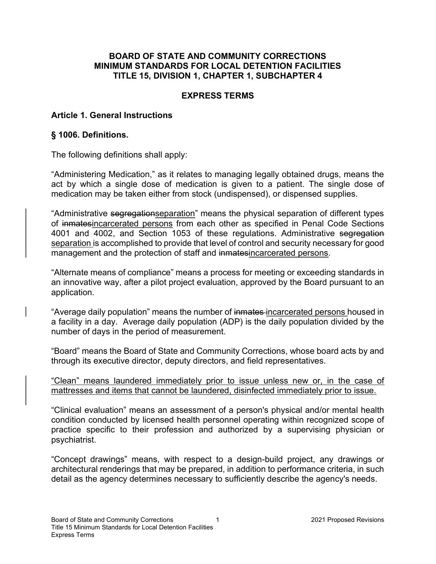#### BOARD OF STATE AND COMMUNITY CORRECTIONS MINIMUM STANDARDS FOR LOCAL DETENTION FACILITIES TITLE 15, DIVISION 1, CHAPTER 1, SUBCHAPTER 4

#### EXPRESS TERMS

#### Article 1. General Instructions

#### § 1006. Definitions.

The following definitions shall apply:

"Administering Medication," as it relates to managing legally obtained drugs, means the act by which a single dose of medication is given to a patient. The single dose of medication may be taken either from stock (undispensed), or dispensed supplies.

"Administrative segregationseparation" means the physical separation of different types of inmatesincarcerated persons from each other as specified in Penal Code Sections 4001 and 4002, and Section 1053 of these regulations. Administrative segregation separation is accomplished to provide that level of control and security necessary for good management and the protection of staff and inmatesincarcerated persons.

"Alternate means of compliance" means a process for meeting or exceeding standards in an innovative way, after a pilot project evaluation, approved by the Board pursuant to an application.

"Average daily population" means the number of inmates-incarcerated persons housed in a facility in a day. Average daily population (ADP) is the daily population divided by the number of days in the period of measurement.

"Board" means the Board of State and Community Corrections, whose board acts by and through its executive director, deputy directors, and field representatives.

"Clean" means laundered immediately prior to issue unless new or, in the case of mattresses and items that cannot be laundered, disinfected immediately prior to issue.

"Clinical evaluation" means an assessment of a person's physical and/or mental health condition conducted by licensed health personnel operating within recognized scope of practice specific to their profession and authorized by a supervising physician or psychiatrist.

"Concept drawings" means, with respect to a design-build project, any drawings or architectural renderings that may be prepared, in addition to performance criteria, in such detail as the agency determines necessary to sufficiently describe the agency's needs.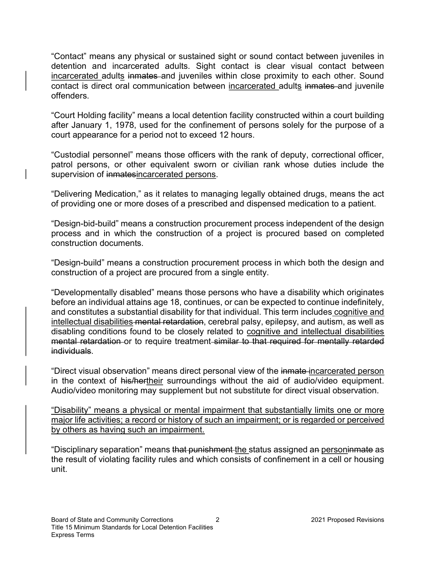"Contact" means any physical or sustained sight or sound contact between juveniles in detention and incarcerated adults. Sight contact is clear visual contact between incarcerated adults inmates and juveniles within close proximity to each other. Sound contact is direct oral communication between incarcerated adults inmates and juvenile offenders.

"Court Holding facility" means a local detention facility constructed within a court building after January 1, 1978, used for the confinement of persons solely for the purpose of a court appearance for a period not to exceed 12 hours.

"Custodial personnel" means those officers with the rank of deputy, correctional officer, patrol persons, or other equivalent sworn or civilian rank whose duties include the supervision of inmatesincarcerated persons.

"Delivering Medication," as it relates to managing legally obtained drugs, means the act of providing one or more doses of a prescribed and dispensed medication to a patient.

"Design-bid-build" means a construction procurement process independent of the design process and in which the construction of a project is procured based on completed construction documents.

"Design-build" means a construction procurement process in which both the design and construction of a project are procured from a single entity.

"Developmentally disabled" means those persons who have a disability which originates before an individual attains age 18, continues, or can be expected to continue indefinitely, and constitutes a substantial disability for that individual. This term includes cognitive and intellectual disabilities mental retardation, cerebral palsy, epilepsy, and autism, as well as disabling conditions found to be closely related to cognitive and intellectual disabilities mental retardation or to require treatment similar to that required for mentally retarded individuals.

"Direct visual observation" means direct personal view of the inmate-incarcerated person in the context of his/hertheir surroundings without the aid of audio/video equipment. Audio/video monitoring may supplement but not substitute for direct visual observation.

"Disability" means a physical or mental impairment that substantially limits one or more major life activities; a record or history of such an impairment; or is regarded or perceived by others as having such an impairment.

"Disciplinary separation" means that punishment the status assigned an personinmate as the result of violating facility rules and which consists of confinement in a cell or housing unit.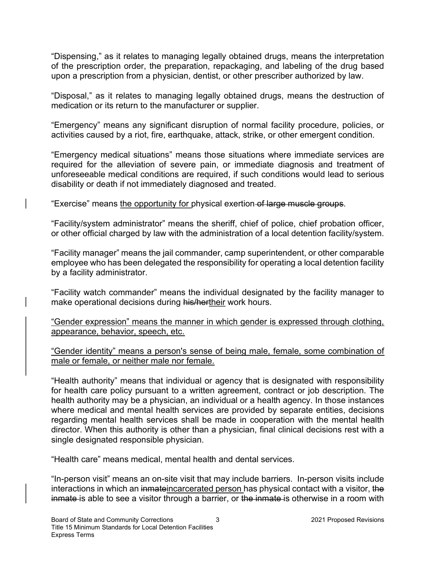"Dispensing," as it relates to managing legally obtained drugs, means the interpretation of the prescription order, the preparation, repackaging, and labeling of the drug based upon a prescription from a physician, dentist, or other prescriber authorized by law.

"Disposal," as it relates to managing legally obtained drugs, means the destruction of medication or its return to the manufacturer or supplier.

"Emergency" means any significant disruption of normal facility procedure, policies, or activities caused by a riot, fire, earthquake, attack, strike, or other emergent condition.

"Emergency medical situations" means those situations where immediate services are required for the alleviation of severe pain, or immediate diagnosis and treatment of unforeseeable medical conditions are required, if such conditions would lead to serious disability or death if not immediately diagnosed and treated.

"Exercise" means the opportunity for physical exertion of large muscle groups.

"Facility/system administrator" means the sheriff, chief of police, chief probation officer, or other official charged by law with the administration of a local detention facility/system.

"Facility manager" means the jail commander, camp superintendent, or other comparable employee who has been delegated the responsibility for operating a local detention facility by a facility administrator.

"Facility watch commander" means the individual designated by the facility manager to make operational decisions during his/hertheir work hours.

"Gender expression" means the manner in which gender is expressed through clothing, appearance, behavior, speech, etc.

"Gender identity" means a person's sense of being male, female, some combination of male or female, or neither male nor female.

"Health authority" means that individual or agency that is designated with responsibility for health care policy pursuant to a written agreement, contract or job description. The health authority may be a physician, an individual or a health agency. In those instances where medical and mental health services are provided by separate entities, decisions regarding mental health services shall be made in cooperation with the mental health director. When this authority is other than a physician, final clinical decisions rest with a single designated responsible physician.

"Health care" means medical, mental health and dental services.

"In-person visit" means an on-site visit that may include barriers. In-person visits include interactions in which an inmateincarcerated person has physical contact with a visitor, the inmate is able to see a visitor through a barrier, or the inmate is otherwise in a room with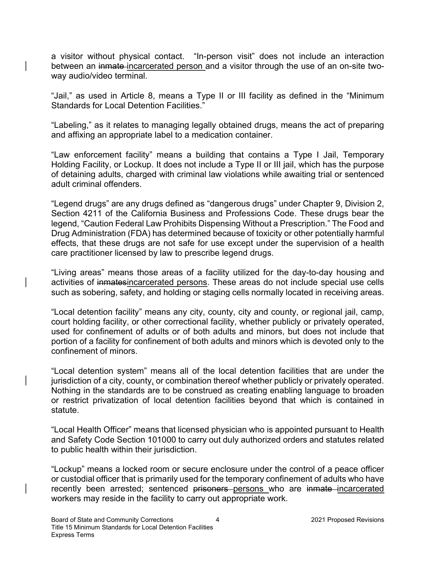a visitor without physical contact. "In-person visit" does not include an interaction between an inmate-incarcerated person and a visitor through the use of an on-site twoway audio/video terminal.

"Jail," as used in Article 8, means a Type II or III facility as defined in the "Minimum Standards for Local Detention Facilities."

"Labeling," as it relates to managing legally obtained drugs, means the act of preparing and affixing an appropriate label to a medication container.

"Law enforcement facility" means a building that contains a Type I Jail, Temporary Holding Facility, or Lockup. It does not include a Type II or III jail, which has the purpose of detaining adults, charged with criminal law violations while awaiting trial or sentenced adult criminal offenders.

"Legend drugs" are any drugs defined as "dangerous drugs" under Chapter 9, Division 2, Section 4211 of the California Business and Professions Code. These drugs bear the legend, "Caution Federal Law Prohibits Dispensing Without a Prescription." The Food and Drug Administration (FDA) has determined because of toxicity or other potentially harmful effects, that these drugs are not safe for use except under the supervision of a health care practitioner licensed by law to prescribe legend drugs.

"Living areas" means those areas of a facility utilized for the day-to-day housing and activities of inmatesincarcerated persons. These areas do not include special use cells such as sobering, safety, and holding or staging cells normally located in receiving areas.

"Local detention facility" means any city, county, city and county, or regional jail, camp, court holding facility, or other correctional facility, whether publicly or privately operated, used for confinement of adults or of both adults and minors, but does not include that portion of a facility for confinement of both adults and minors which is devoted only to the confinement of minors.

"Local detention system" means all of the local detention facilities that are under the jurisdiction of a city, county, or combination thereof whether publicly or privately operated. Nothing in the standards are to be construed as creating enabling language to broaden or restrict privatization of local detention facilities beyond that which is contained in statute.

"Local Health Officer" means that licensed physician who is appointed pursuant to Health and Safety Code Section 101000 to carry out duly authorized orders and statutes related to public health within their jurisdiction.

"Lockup" means a locked room or secure enclosure under the control of a peace officer or custodial officer that is primarily used for the temporary confinement of adults who have recently been arrested; sentenced prisoners persons who are inmate incarcerated workers may reside in the facility to carry out appropriate work.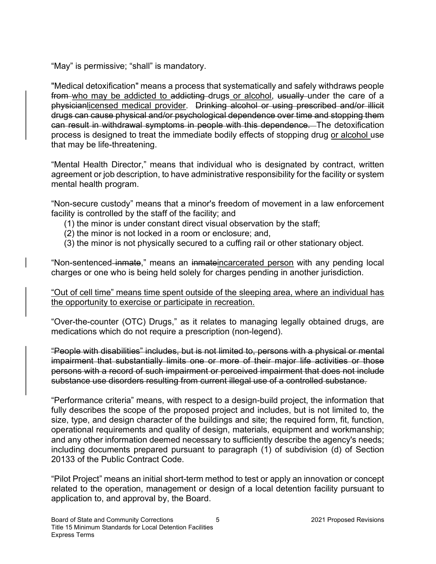"May" is permissive; "shall" is mandatory.

"Medical detoxification" means a process that systematically and safely withdraws people from who may be addicted to addicting drugs or alcohol, usually under the care of a physicianlicensed medical provider. Drinking alcohol or using prescribed and/or illicit drugs can cause physical and/or psychological dependence over time and stopping them can result in withdrawal symptoms in people with this dependence. The detoxification process is designed to treat the immediate bodily effects of stopping drug or alcohol use that may be life-threatening.

"Mental Health Director," means that individual who is designated by contract, written agreement or job description, to have administrative responsibility for the facility or system mental health program.

"Non-secure custody" means that a minor's freedom of movement in a law enforcement facility is controlled by the staff of the facility; and

- (1) the minor is under constant direct visual observation by the staff;
- (2) the minor is not locked in a room or enclosure; and,
- (3) the minor is not physically secured to a cuffing rail or other stationary object.

"Non-sentenced inmate," means an inmateincarcerated person with any pending local charges or one who is being held solely for charges pending in another jurisdiction.

"Out of cell time" means time spent outside of the sleeping area, where an individual has the opportunity to exercise or participate in recreation.

"Over-the-counter (OTC) Drugs," as it relates to managing legally obtained drugs, are medications which do not require a prescription (non-legend).

"People with disabilities" includes, but is not limited to, persons with a physical or mental impairment that substantially limits one or more of their major life activities or those persons with a record of such impairment or perceived impairment that does not include substance use disorders resulting from current illegal use of a controlled substance.

"Performance criteria" means, with respect to a design-build project, the information that fully describes the scope of the proposed project and includes, but is not limited to, the size, type, and design character of the buildings and site; the required form, fit, function, operational requirements and quality of design, materials, equipment and workmanship; and any other information deemed necessary to sufficiently describe the agency's needs; including documents prepared pursuant to paragraph (1) of subdivision (d) of Section 20133 of the Public Contract Code.

"Pilot Project" means an initial short-term method to test or apply an innovation or concept related to the operation, management or design of a local detention facility pursuant to application to, and approval by, the Board.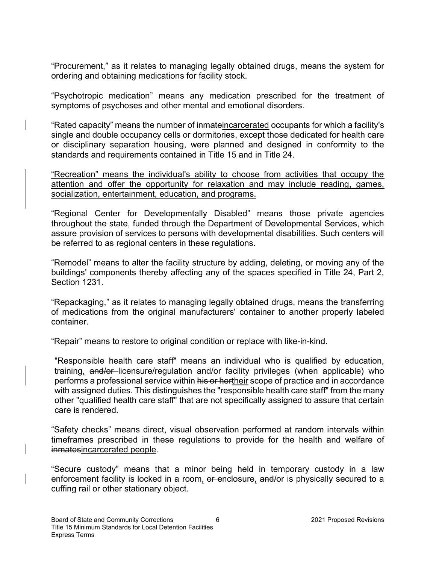"Procurement," as it relates to managing legally obtained drugs, means the system for ordering and obtaining medications for facility stock.

"Psychotropic medication" means any medication prescribed for the treatment of symptoms of psychoses and other mental and emotional disorders.

"Rated capacity" means the number of inmateincarcerated occupants for which a facility's single and double occupancy cells or dormitories, except those dedicated for health care or disciplinary separation housing, were planned and designed in conformity to the standards and requirements contained in Title 15 and in Title 24.

"Recreation" means the individual's ability to choose from activities that occupy the attention and offer the opportunity for relaxation and may include reading, games, socialization, entertainment, education, and programs.

"Regional Center for Developmentally Disabled" means those private agencies throughout the state, funded through the Department of Developmental Services, which assure provision of services to persons with developmental disabilities. Such centers will be referred to as regional centers in these regulations.

"Remodel" means to alter the facility structure by adding, deleting, or moving any of the buildings' components thereby affecting any of the spaces specified in Title 24, Part 2, Section 1231.

"Repackaging," as it relates to managing legally obtained drugs, means the transferring of medications from the original manufacturers' container to another properly labeled container.

"Repair" means to restore to original condition or replace with like-in-kind.

"Responsible health care staff" means an individual who is qualified by education, training, and/or licensure/regulation and/or facility privileges (when applicable) who performs a professional service within his or hertheir scope of practice and in accordance with assigned duties. This distinguishes the "responsible health care staff" from the many other "qualified health care staff" that are not specifically assigned to assure that certain care is rendered.

"Safety checks" means direct, visual observation performed at random intervals within timeframes prescribed in these regulations to provide for the health and welfare of inmatesincarcerated people.

"Secure custody" means that a minor being held in temporary custody in a law enforcement facility is locked in a room, or enclosure, and/or is physically secured to a cuffing rail or other stationary object.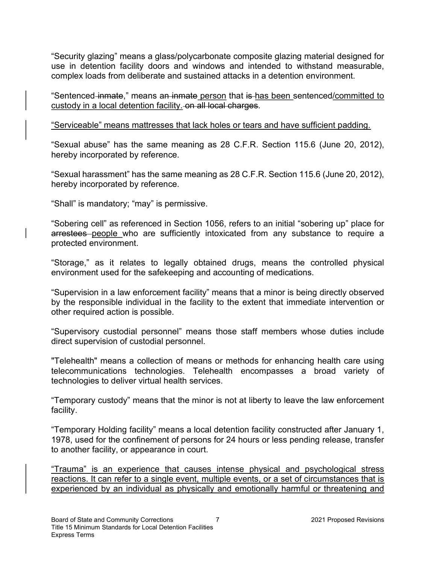"Security glazing" means a glass/polycarbonate composite glazing material designed for use in detention facility doors and windows and intended to withstand measurable, complex loads from deliberate and sustained attacks in a detention environment.

"Sentenced inmate," means an inmate person that is has been sentenced/committed to custody in a local detention facility. on all local charges.

#### "Serviceable" means mattresses that lack holes or tears and have sufficient padding.

"Sexual abuse" has the same meaning as 28 C.F.R. Section 115.6 (June 20, 2012), hereby incorporated by reference.

"Sexual harassment" has the same meaning as 28 C.F.R. Section 115.6 (June 20, 2012), hereby incorporated by reference.

"Shall" is mandatory; "may" is permissive.

"Sobering cell" as referenced in Section 1056, refers to an initial "sobering up" place for arrestees people who are sufficiently intoxicated from any substance to require a protected environment.

"Storage," as it relates to legally obtained drugs, means the controlled physical environment used for the safekeeping and accounting of medications.

"Supervision in a law enforcement facility" means that a minor is being directly observed by the responsible individual in the facility to the extent that immediate intervention or other required action is possible.

"Supervisory custodial personnel" means those staff members whose duties include direct supervision of custodial personnel.

"Telehealth" means a collection of means or methods for enhancing health care using telecommunications technologies. Telehealth encompasses a broad variety of technologies to deliver virtual health services.

"Temporary custody" means that the minor is not at liberty to leave the law enforcement facility.

"Temporary Holding facility" means a local detention facility constructed after January 1, 1978, used for the confinement of persons for 24 hours or less pending release, transfer to another facility, or appearance in court.

"Trauma" is an experience that causes intense physical and psychological stress reactions. It can refer to a single event, multiple events, or a set of circumstances that is experienced by an individual as physically and emotionally harmful or threatening and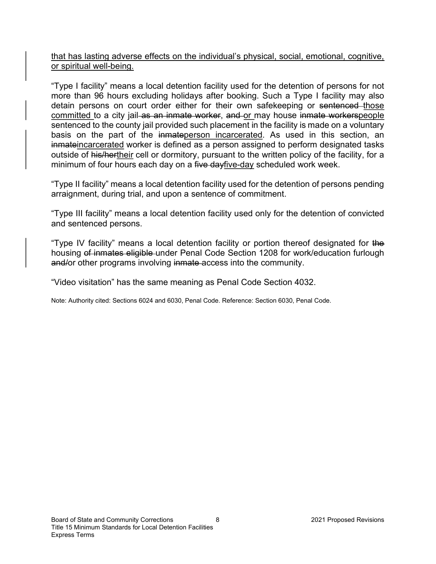that has lasting adverse effects on the individual's physical, social, emotional, cognitive, or spiritual well-being.

"Type I facility" means a local detention facility used for the detention of persons for not more than 96 hours excluding holidays after booking. Such a Type I facility may also detain persons on court order either for their own safekeeping or sentenced those committed to a city jail as an inmate worker, and or may house inmate workerspeople sentenced to the county jail provided such placement in the facility is made on a voluntary basis on the part of the inmateperson incarcerated. As used in this section, an inmateincarcerated worker is defined as a person assigned to perform designated tasks outside of his/hertheir cell or dormitory, pursuant to the written policy of the facility, for a minimum of four hours each day on a five dayfive-day scheduled work week.

"Type II facility" means a local detention facility used for the detention of persons pending arraignment, during trial, and upon a sentence of commitment.

"Type III facility" means a local detention facility used only for the detention of convicted and sentenced persons.

"Type IV facility" means a local detention facility or portion thereof designated for the housing of inmates eligible under Penal Code Section 1208 for work/education furlough and/or other programs involving inmate-access into the community.

"Video visitation" has the same meaning as Penal Code Section 4032.

Note: Authority cited: Sections 6024 and 6030, Penal Code. Reference: Section 6030, Penal Code.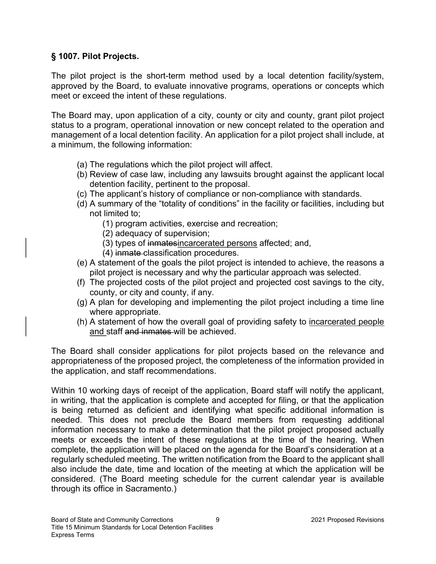## § 1007. Pilot Projects.

The pilot project is the short-term method used by a local detention facility/system, approved by the Board, to evaluate innovative programs, operations or concepts which meet or exceed the intent of these regulations.

The Board may, upon application of a city, county or city and county, grant pilot project status to a program, operational innovation or new concept related to the operation and management of a local detention facility. An application for a pilot project shall include, at a minimum, the following information:

- (a) The regulations which the pilot project will affect.
- (b) Review of case law, including any lawsuits brought against the applicant local detention facility, pertinent to the proposal.
- (c) The applicant's history of compliance or non-compliance with standards.
- (d) A summary of the "totality of conditions" in the facility or facilities, including but not limited to;
	- (1) program activities, exercise and recreation;
	- (2) adequacy of supervision;
	- (3) types of inmatesincarcerated persons affected; and,
	- (4) inmate classification procedures.
- (e) A statement of the goals the pilot project is intended to achieve, the reasons a pilot project is necessary and why the particular approach was selected.
- (f) The projected costs of the pilot project and projected cost savings to the city, county, or city and county, if any.
- (g) A plan for developing and implementing the pilot project including a time line where appropriate.
- (h) A statement of how the overall goal of providing safety to incarcerated people and staff and inmates will be achieved.

The Board shall consider applications for pilot projects based on the relevance and appropriateness of the proposed project, the completeness of the information provided in the application, and staff recommendations.

Within 10 working days of receipt of the application, Board staff will notify the applicant, in writing, that the application is complete and accepted for filing, or that the application is being returned as deficient and identifying what specific additional information is needed. This does not preclude the Board members from requesting additional information necessary to make a determination that the pilot project proposed actually meets or exceeds the intent of these regulations at the time of the hearing. When complete, the application will be placed on the agenda for the Board's consideration at a regularly scheduled meeting. The written notification from the Board to the applicant shall also include the date, time and location of the meeting at which the application will be considered. (The Board meeting schedule for the current calendar year is available through its office in Sacramento.)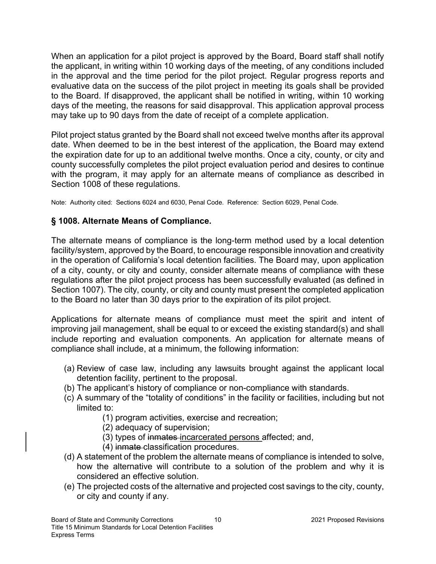When an application for a pilot project is approved by the Board, Board staff shall notify the applicant, in writing within 10 working days of the meeting, of any conditions included in the approval and the time period for the pilot project. Regular progress reports and evaluative data on the success of the pilot project in meeting its goals shall be provided to the Board. If disapproved, the applicant shall be notified in writing, within 10 working days of the meeting, the reasons for said disapproval. This application approval process may take up to 90 days from the date of receipt of a complete application.

Pilot project status granted by the Board shall not exceed twelve months after its approval date. When deemed to be in the best interest of the application, the Board may extend the expiration date for up to an additional twelve months. Once a city, county, or city and county successfully completes the pilot project evaluation period and desires to continue with the program, it may apply for an alternate means of compliance as described in Section 1008 of these regulations.

Note: Authority cited: Sections 6024 and 6030, Penal Code. Reference: Section 6029, Penal Code.

## § 1008. Alternate Means of Compliance.

The alternate means of compliance is the long-term method used by a local detention facility/system, approved by the Board, to encourage responsible innovation and creativity in the operation of California's local detention facilities. The Board may, upon application of a city, county, or city and county, consider alternate means of compliance with these regulations after the pilot project process has been successfully evaluated (as defined in Section 1007). The city, county, or city and county must present the completed application to the Board no later than 30 days prior to the expiration of its pilot project.

Applications for alternate means of compliance must meet the spirit and intent of improving jail management, shall be equal to or exceed the existing standard(s) and shall include reporting and evaluation components. An application for alternate means of compliance shall include, at a minimum, the following information:

- (a) Review of case law, including any lawsuits brought against the applicant local detention facility, pertinent to the proposal.
- (b) The applicant's history of compliance or non-compliance with standards.
- (c) A summary of the "totality of conditions" in the facility or facilities, including but not limited to:
	- (1) program activities, exercise and recreation;
	- (2) adequacy of supervision;
	- (3) types of inmates incarcerated persons affected; and,
	- (4) inmate classification procedures.
- (d) A statement of the problem the alternate means of compliance is intended to solve, how the alternative will contribute to a solution of the problem and why it is considered an effective solution.
- (e) The projected costs of the alternative and projected cost savings to the city, county, or city and county if any.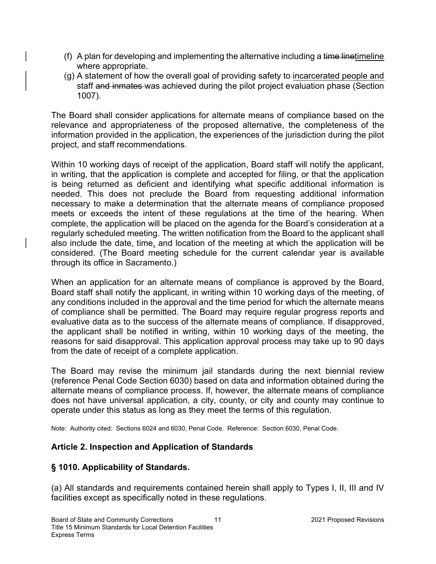- (f) A plan for developing and implementing the alternative including a time linetimeline where appropriate.
- (g) A statement of how the overall goal of providing safety to incarcerated people and staff and inmates was achieved during the pilot project evaluation phase (Section 1007).

The Board shall consider applications for alternate means of compliance based on the relevance and appropriateness of the proposed alternative, the completeness of the information provided in the application, the experiences of the jurisdiction during the pilot project, and staff recommendations.

Within 10 working days of receipt of the application, Board staff will notify the applicant, in writing, that the application is complete and accepted for filing, or that the application is being returned as deficient and identifying what specific additional information is needed. This does not preclude the Board from requesting additional information necessary to make a determination that the alternate means of compliance proposed meets or exceeds the intent of these regulations at the time of the hearing. When complete, the application will be placed on the agenda for the Board's consideration at a regularly scheduled meeting. The written notification from the Board to the applicant shall also include the date, time, and location of the meeting at which the application will be considered. (The Board meeting schedule for the current calendar year is available through its office in Sacramento.)

When an application for an alternate means of compliance is approved by the Board, Board staff shall notify the applicant, in writing within 10 working days of the meeting, of any conditions included in the approval and the time period for which the alternate means of compliance shall be permitted. The Board may require regular progress reports and evaluative data as to the success of the alternate means of compliance. If disapproved, the applicant shall be notified in writing, within 10 working days of the meeting, the reasons for said disapproval. This application approval process may take up to 90 days from the date of receipt of a complete application.

The Board may revise the minimum jail standards during the next biennial review (reference Penal Code Section 6030) based on data and information obtained during the alternate means of compliance process. If, however, the alternate means of compliance does not have universal application, a city, county, or city and county may continue to operate under this status as long as they meet the terms of this regulation.

Note: Authority cited: Sections 6024 and 6030, Penal Code. Reference: Section 6030, Penal Code.

## Article 2. Inspection and Application of Standards

## § 1010. Applicability of Standards.

(a) All standards and requirements contained herein shall apply to Types I, II, III and IV facilities except as specifically noted in these regulations.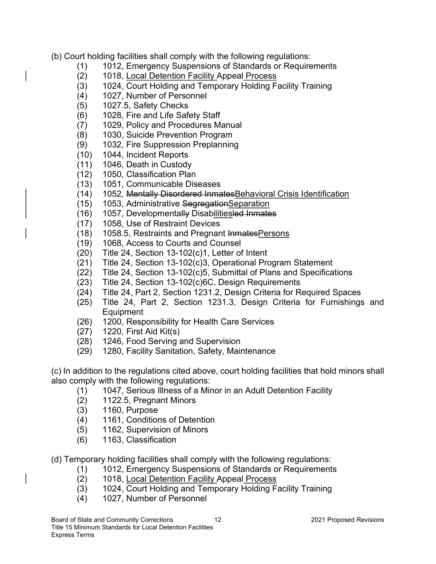- (b) Court holding facilities shall comply with the following regulations:
	- (1) 1012, Emergency Suspensions of Standards or Requirements
	- (2) 1018, Local Detention Facility Appeal Process
	- (3) 1024, Court Holding and Temporary Holding Facility Training
	- (4) 1027, Number of Personnel
	- (5) 1027.5, Safety Checks
	- (6) 1028, Fire and Life Safety Staff
	- (7) 1029, Policy and Procedures Manual
	- (8) 1030, Suicide Prevention Program
	- (9) 1032, Fire Suppression Preplanning
	- (10) 1044, Incident Reports
	- (11) 1046, Death in Custody
	- (12) 1050, Classification Plan
	- (13) 1051, Communicable Diseases
	- (14) 1052, Mentally Disordered InmatesBehavioral Crisis Identification
	- (15) 1053, Administrative SegregationSeparation
	- (16) 1057, Developmentally Disabilitiesled Inmates
	- (17) 1058, Use of Restraint Devices
	- (18) 1058.5, Restraints and Pregnant InmatesPersons
	- (19) 1068, Access to Courts and Counsel
	- (20) Title 24, Section 13-102(c)1, Letter of Intent
	- (21) Title 24, Section 13-102(c)3, Operational Program Statement
	- (22) Title 24, Section 13-102(c)5, Submittal of Plans and Specifications
	- (23) Title 24, Section 13-102(c)6C, Design Requirements
	- (24) Title 24, Part 2, Section 1231.2, Design Criteria for Required Spaces
	- (25) Title 24, Part 2, Section 1231.3, Design Criteria for Furnishings and Equipment
	- (26) 1200, Responsibility for Health Care Services
	- (27) 1220, First Aid Kit(s)
	- (28) 1246, Food Serving and Supervision
	- (29) 1280, Facility Sanitation, Safety, Maintenance

(c) In addition to the regulations cited above, court holding facilities that hold minors shall also comply with the following regulations:

- (1) 1047, Serious Illness of a Minor in an Adult Detention Facility
- (2) 1122.5, Pregnant Minors
- (3) 1160, Purpose
- (4) 1161, Conditions of Detention
- (5) 1162, Supervision of Minors
- (6) 1163, Classification

(d) Temporary holding facilities shall comply with the following regulations:

- (1) 1012, Emergency Suspensions of Standards or Requirements
- (2) 1018, Local Detention Facility Appeal Process
- (3) 1024, Court Holding and Temporary Holding Facility Training
- (4) 1027, Number of Personnel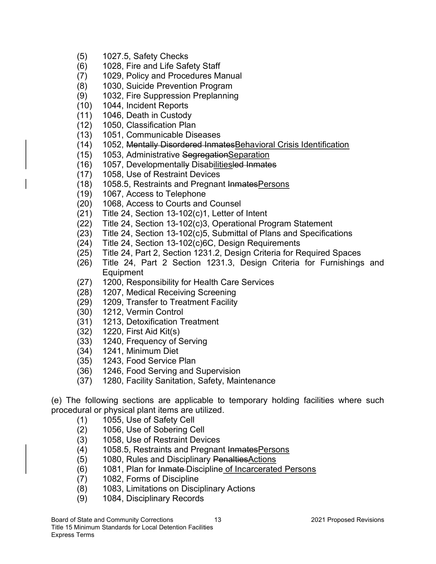- (5) 1027.5, Safety Checks
- (6) 1028, Fire and Life Safety Staff
- (7) 1029, Policy and Procedures Manual
- (8) 1030, Suicide Prevention Program
- (9) 1032, Fire Suppression Preplanning
- (10) 1044, Incident Reports
- (11) 1046, Death in Custody
- (12) 1050, Classification Plan
- (13) 1051, Communicable Diseases
- (14) 1052, Mentally Disordered InmatesBehavioral Crisis Identification
- (15) 1053, Administrative SegregationSeparation
- (16) 1057, Developmentally Disabilitiesled Inmates
- (17) 1058, Use of Restraint Devices
- (18) 1058.5, Restraints and Pregnant InmatesPersons
- (19) 1067, Access to Telephone
- (20) 1068, Access to Courts and Counsel
- (21) Title 24, Section 13-102(c)1, Letter of Intent
- (22) Title 24, Section 13-102(c)3, Operational Program Statement
- (23) Title 24, Section 13-102(c)5, Submittal of Plans and Specifications
- (24) Title 24, Section 13-102(c)6C, Design Requirements
- (25) Title 24, Part 2, Section 1231.2, Design Criteria for Required Spaces
- (26) Title 24, Part 2 Section 1231.3, Design Criteria for Furnishings and **Equipment**
- (27) 1200, Responsibility for Health Care Services
- (28) 1207, Medical Receiving Screening
- (29) 1209, Transfer to Treatment Facility
- (30) 1212, Vermin Control
- (31) 1213, Detoxification Treatment
- (32) 1220, First Aid Kit(s)
- (33) 1240, Frequency of Serving
- (34) 1241, Minimum Diet
- (35) 1243, Food Service Plan
- (36) 1246, Food Serving and Supervision
- (37) 1280, Facility Sanitation, Safety, Maintenance

(e) The following sections are applicable to temporary holding facilities where such procedural or physical plant items are utilized.

- (1) 1055, Use of Safety Cell
- (2) 1056, Use of Sobering Cell
- (3) 1058, Use of Restraint Devices
- (4) 1058.5, Restraints and Pregnant Inmates Persons
- (5) 1080, Rules and Disciplinary PenaltiesActions
- (6) 1081, Plan for Inmate Discipline of Incarcerated Persons
- (7) 1082, Forms of Discipline
- (8) 1083, Limitations on Disciplinary Actions
- (9) 1084, Disciplinary Records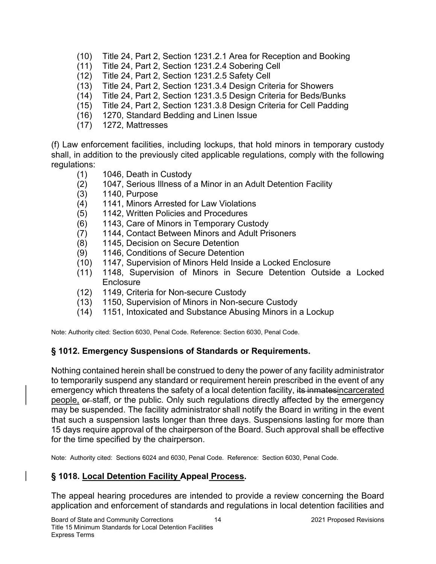- (10) Title 24, Part 2, Section 1231.2.1 Area for Reception and Booking
- (11) Title 24, Part 2, Section 1231.2.4 Sobering Cell
- (12) Title 24, Part 2, Section 1231.2.5 Safety Cell
- (13) Title 24, Part 2, Section 1231.3.4 Design Criteria for Showers
- (14) Title 24, Part 2, Section 1231.3.5 Design Criteria for Beds/Bunks
- (15) Title 24, Part 2, Section 1231.3.8 Design Criteria for Cell Padding
- (16) 1270, Standard Bedding and Linen Issue
- (17) 1272, Mattresses

(f) Law enforcement facilities, including lockups, that hold minors in temporary custody shall, in addition to the previously cited applicable regulations, comply with the following regulations:

- (1) 1046, Death in Custody
- (2) 1047, Serious Illness of a Minor in an Adult Detention Facility
- (3) 1140, Purpose
- (4) 1141, Minors Arrested for Law Violations
- (5) 1142, Written Policies and Procedures
- (6) 1143, Care of Minors in Temporary Custody
- (7) 1144, Contact Between Minors and Adult Prisoners
- (8) 1145, Decision on Secure Detention
- (9) 1146, Conditions of Secure Detention
- (10) 1147, Supervision of Minors Held Inside a Locked Enclosure
- (11) 1148, Supervision of Minors in Secure Detention Outside a Locked **Enclosure**
- (12) 1149, Criteria for Non-secure Custody
- (13) 1150, Supervision of Minors in Non-secure Custody
- (14) 1151, Intoxicated and Substance Abusing Minors in a Lockup

Note: Authority cited: Section 6030, Penal Code. Reference: Section 6030, Penal Code.

### § 1012. Emergency Suspensions of Standards or Requirements.

Nothing contained herein shall be construed to deny the power of any facility administrator to temporarily suspend any standard or requirement herein prescribed in the event of any emergency which threatens the safety of a local detention facility, its inmatesincarcerated people, or staff, or the public. Only such regulations directly affected by the emergency may be suspended. The facility administrator shall notify the Board in writing in the event that such a suspension lasts longer than three days. Suspensions lasting for more than 15 days require approval of the chairperson of the Board. Such approval shall be effective for the time specified by the chairperson.

Note: Authority cited: Sections 6024 and 6030, Penal Code. Reference: Section 6030, Penal Code.

## § 1018. Local Detention Facility Appeal Process.

The appeal hearing procedures are intended to provide a review concerning the Board application and enforcement of standards and regulations in local detention facilities and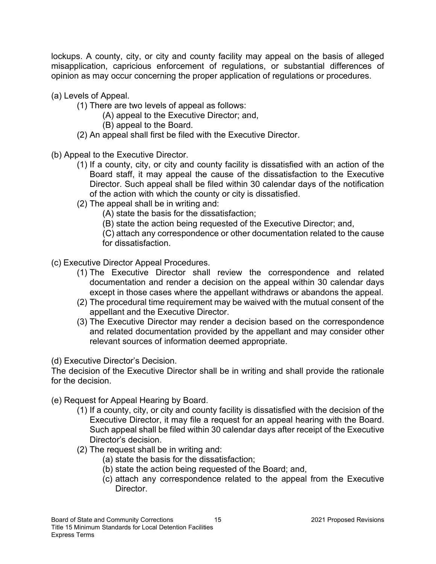lockups. A county, city, or city and county facility may appeal on the basis of alleged misapplication, capricious enforcement of regulations, or substantial differences of opinion as may occur concerning the proper application of regulations or procedures.

- (a) Levels of Appeal.
	- (1) There are two levels of appeal as follows:
		- (A) appeal to the Executive Director; and,
			- (B) appeal to the Board.
	- (2) An appeal shall first be filed with the Executive Director.
- (b) Appeal to the Executive Director.
	- (1) If a county, city, or city and county facility is dissatisfied with an action of the Board staff, it may appeal the cause of the dissatisfaction to the Executive Director. Such appeal shall be filed within 30 calendar days of the notification of the action with which the county or city is dissatisfied.
	- (2) The appeal shall be in writing and:

(A) state the basis for the dissatisfaction;

(B) state the action being requested of the Executive Director; and,

(C) attach any correspondence or other documentation related to the cause for dissatisfaction.

- (c) Executive Director Appeal Procedures.
	- (1) The Executive Director shall review the correspondence and related documentation and render a decision on the appeal within 30 calendar days except in those cases where the appellant withdraws or abandons the appeal.
	- (2) The procedural time requirement may be waived with the mutual consent of the appellant and the Executive Director.
	- (3) The Executive Director may render a decision based on the correspondence and related documentation provided by the appellant and may consider other relevant sources of information deemed appropriate.

(d) Executive Director's Decision.

The decision of the Executive Director shall be in writing and shall provide the rationale for the decision.

- (e) Request for Appeal Hearing by Board.
	- (1) If a county, city, or city and county facility is dissatisfied with the decision of the Executive Director, it may file a request for an appeal hearing with the Board. Such appeal shall be filed within 30 calendar days after receipt of the Executive Director's decision.
	- (2) The request shall be in writing and:
		- (a) state the basis for the dissatisfaction;
		- (b) state the action being requested of the Board; and,
		- (c) attach any correspondence related to the appeal from the Executive Director.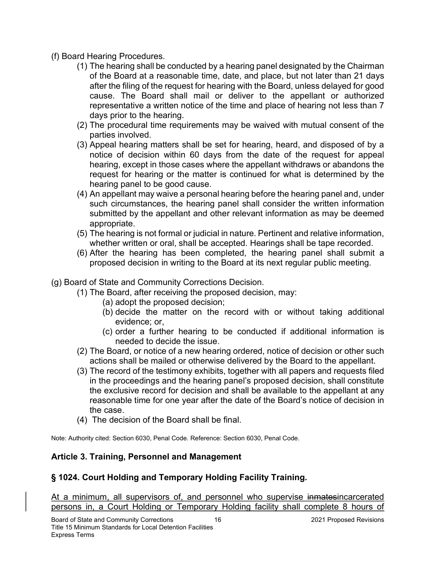- (f) Board Hearing Procedures.
	- (1) The hearing shall be conducted by a hearing panel designated by the Chairman of the Board at a reasonable time, date, and place, but not later than 21 days after the filing of the request for hearing with the Board, unless delayed for good cause. The Board shall mail or deliver to the appellant or authorized representative a written notice of the time and place of hearing not less than 7 days prior to the hearing.
	- (2) The procedural time requirements may be waived with mutual consent of the parties involved.
	- (3) Appeal hearing matters shall be set for hearing, heard, and disposed of by a notice of decision within 60 days from the date of the request for appeal hearing, except in those cases where the appellant withdraws or abandons the request for hearing or the matter is continued for what is determined by the hearing panel to be good cause.
	- (4) An appellant may waive a personal hearing before the hearing panel and, under such circumstances, the hearing panel shall consider the written information submitted by the appellant and other relevant information as may be deemed appropriate.
	- (5) The hearing is not formal or judicial in nature. Pertinent and relative information, whether written or oral, shall be accepted. Hearings shall be tape recorded.
	- (6) After the hearing has been completed, the hearing panel shall submit a proposed decision in writing to the Board at its next regular public meeting.
- (g) Board of State and Community Corrections Decision.
	- (1) The Board, after receiving the proposed decision, may:
		- (a) adopt the proposed decision;
		- (b) decide the matter on the record with or without taking additional evidence; or,
		- (c) order a further hearing to be conducted if additional information is needed to decide the issue.
	- (2) The Board, or notice of a new hearing ordered, notice of decision or other such actions shall be mailed or otherwise delivered by the Board to the appellant.
	- (3) The record of the testimony exhibits, together with all papers and requests filed in the proceedings and the hearing panel's proposed decision, shall constitute the exclusive record for decision and shall be available to the appellant at any reasonable time for one year after the date of the Board's notice of decision in the case.
	- (4) The decision of the Board shall be final.

Note: Authority cited: Section 6030, Penal Code. Reference: Section 6030, Penal Code.

## Article 3. Training, Personnel and Management

# § 1024. Court Holding and Temporary Holding Facility Training.

At a minimum, all supervisors of, and personnel who supervise inmatesincarcerated persons in, a Court Holding or Temporary Holding facility shall complete 8 hours of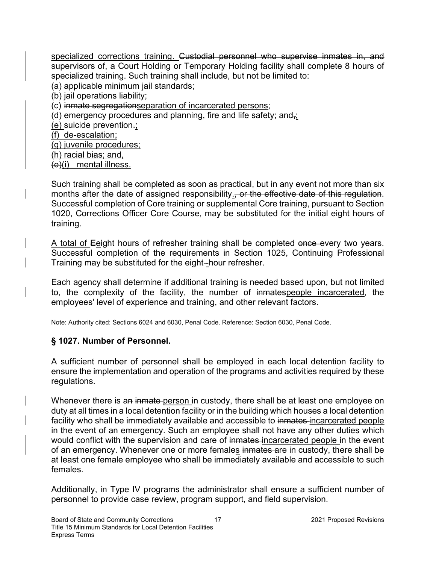specialized corrections training. Custodial personnel who supervise inmates in, and supervisors of, a Court Holding or Temporary Holding facility shall complete 8 hours of specialized training. Such training shall include, but not be limited to:

(a) applicable minimum jail standards;

(b) jail operations liability;

(c) inmate segregationseparation of incarcerated persons;

(d) emergency procedures and planning, fire and life safety; and $\frac{1}{2}$ ;

(e) suicide prevention.;

(f) de-escalation;

(g) juvenile procedures;

(h) racial bias; and,

 $(e)(i)$  mental illness.

Such training shall be completed as soon as practical, but in any event not more than six months after the date of assigned responsibility., or the effective date of this regulation. Successful completion of Core training or supplemental Core training, pursuant to Section 1020, Corrections Officer Core Course, may be substituted for the initial eight hours of training.

A total of Eeight hours of refresher training shall be completed once every two years. Successful completion of the requirements in Section 1025, Continuing Professional Training may be substituted for the eight-hour refresher.

Each agency shall determine if additional training is needed based upon, but not limited to, the complexity of the facility, the number of inmatespeople incarcerated, the employees' level of experience and training, and other relevant factors.

Note: Authority cited: Sections 6024 and 6030, Penal Code. Reference: Section 6030, Penal Code.

## § 1027. Number of Personnel.

A sufficient number of personnel shall be employed in each local detention facility to ensure the implementation and operation of the programs and activities required by these regulations.

Whenever there is an inmate person in custody, there shall be at least one employee on duty at all times in a local detention facility or in the building which houses a local detention facility who shall be immediately available and accessible to inmates incarcerated people in the event of an emergency. Such an employee shall not have any other duties which would conflict with the supervision and care of inmates-incarcerated people in the event of an emergency. Whenever one or more females inmates are in custody, there shall be at least one female employee who shall be immediately available and accessible to such females.

Additionally, in Type IV programs the administrator shall ensure a sufficient number of personnel to provide case review, program support, and field supervision.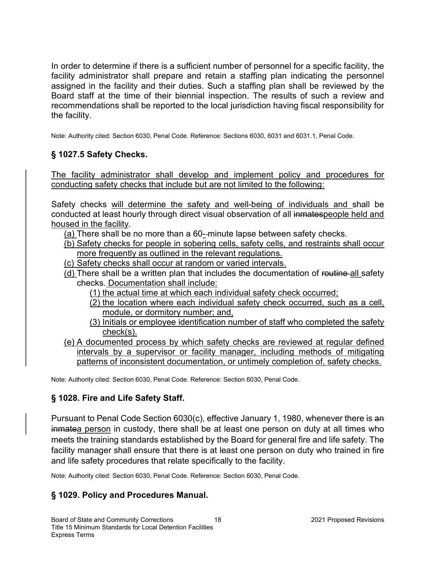In order to determine if there is a sufficient number of personnel for a specific facility, the facility administrator shall prepare and retain a staffing plan indicating the personnel assigned in the facility and their duties. Such a staffing plan shall be reviewed by the Board staff at the time of their biennial inspection. The results of such a review and recommendations shall be reported to the local jurisdiction having fiscal responsibility for the facility.

Note: Authority cited: Section 6030, Penal Code. Reference: Sections 6030, 6031 and 6031.1, Penal Code.

## § 1027.5 Safety Checks.

The facility administrator shall develop and implement policy and procedures for conducting safety checks that include but are not limited to the following:

Safety checks will determine the safety and well-being of individuals and shall be conducted at least hourly through direct visual observation of all inmatespeople held and housed in the facility.

- (a) There shall be no more than a 60- minute lapse between safety checks.
- (b) Safety checks for people in sobering cells, safety cells, and restraints shall occur more frequently as outlined in the relevant regulations.
- (c) Safety checks shall occur at random or varied intervals.
- (d) There shall be a written plan that includes the documentation of routine all safety checks. Documentation shall include:
	- (1) the actual time at which each individual safety check occurred;
	- (2) the location where each individual safety check occurred, such as a cell, module, or dormitory number; and,
	- (3) Initials or employee identification number of staff who completed the safety check(s).
- (e) A documented process by which safety checks are reviewed at regular defined intervals by a supervisor or facility manager, including methods of mitigating patterns of inconsistent documentation, or untimely completion of, safety checks.

Note: Authority cited: Section 6030, Penal Code. Reference: Section 6030, Penal Code.

### § 1028. Fire and Life Safety Staff.

Pursuant to Penal Code Section 6030(c), effective January 1, 1980, whenever there is an inmatea person in custody, there shall be at least one person on duty at all times who meets the training standards established by the Board for general fire and life safety. The facility manager shall ensure that there is at least one person on duty who trained in fire and life safety procedures that relate specifically to the facility.

Note: Authority cited: Section 6030, Penal Code. Reference: Section 6030, Penal Code.

### § 1029. Policy and Procedures Manual.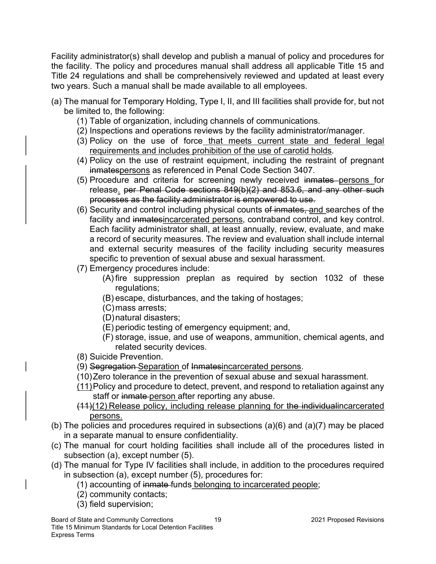Facility administrator(s) shall develop and publish a manual of policy and procedures for the facility. The policy and procedures manual shall address all applicable Title 15 and Title 24 regulations and shall be comprehensively reviewed and updated at least every two years. Such a manual shall be made available to all employees.

- (a) The manual for Temporary Holding, Type I, II, and III facilities shall provide for, but not be limited to, the following:
	- (1) Table of organization, including channels of communications.
	- (2) Inspections and operations reviews by the facility administrator/manager.
	- (3) Policy on the use of force that meets current state and federal legal requirements and includes prohibition of the use of carotid holds.
	- (4) Policy on the use of restraint equipment, including the restraint of pregnant inmatespersons as referenced in Penal Code Section 3407.
	- (5) Procedure and criteria for screening newly received inmates persons for release. per Penal Code sections 849(b)(2) and 853.6, and any other such processes as the facility administrator is empowered to use.
	- (6) Security and control including physical counts of inmates, and searches of the facility and inmatesincarcerated persons, contraband control, and key control. Each facility administrator shall, at least annually, review, evaluate, and make a record of security measures. The review and evaluation shall include internal and external security measures of the facility including security measures specific to prevention of sexual abuse and sexual harassment.
	- (7) Emergency procedures include:
		- (A) fire suppression preplan as required by section 1032 of these regulations;
		- (B) escape, disturbances, and the taking of hostages;
		- (C) mass arrests;
		- (D) natural disasters;
		- (E) periodic testing of emergency equipment; and,
		- (F) storage, issue, and use of weapons, ammunition, chemical agents, and related security devices.
	- (8) Suicide Prevention.
	- (9) Segregation Separation of Inmatesincarcerated persons.
	- (10) Zero tolerance in the prevention of sexual abuse and sexual harassment.
	- (11) Policy and procedure to detect, prevent, and respond to retaliation against any staff or inmate-person after reporting any abuse.
	- (11)(12) Release policy, including release planning for the individualincarcerated persons.
- (b) The policies and procedures required in subsections (a)(6) and (a)(7) may be placed in a separate manual to ensure confidentiality.
- (c) The manual for court holding facilities shall include all of the procedures listed in subsection (a), except number (5).
- (d) The manual for Type IV facilities shall include, in addition to the procedures required in subsection (a), except number (5), procedures for:
	- (1) accounting of inmate funds belonging to incarcerated people;
	- (2) community contacts;
	- (3) field supervision;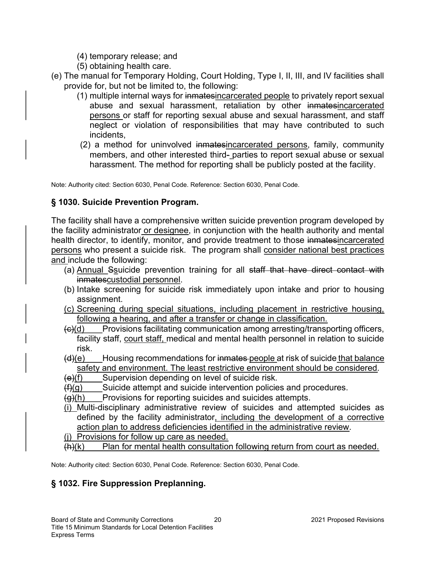- (4) temporary release; and
- (5) obtaining health care.
- (e) The manual for Temporary Holding, Court Holding, Type I, II, III, and IV facilities shall provide for, but not be limited to, the following:
	- (1) multiple internal ways for inmatesincarcerated people to privately report sexual abuse and sexual harassment, retaliation by other inmatesincarcerated persons or staff for reporting sexual abuse and sexual harassment, and staff neglect or violation of responsibilities that may have contributed to such incidents,
	- (2) a method for uninvolved inmatesincarcerated persons, family, community members, and other interested third- parties to report sexual abuse or sexual harassment. The method for reporting shall be publicly posted at the facility.

Note: Authority cited: Section 6030, Penal Code. Reference: Section 6030, Penal Code.

### § 1030. Suicide Prevention Program.

The facility shall have a comprehensive written suicide prevention program developed by the facility administrator or designee, in conjunction with the health authority and mental health director, to identify, monitor, and provide treatment to those inmatesincarcerated persons who present a suicide risk. The program shall consider national best practices and include the following:

- (a) Annual Ssuicide prevention training for all staff that have direct contact with inmatescustodial personnel.
- (b) Intake screening for suicide risk immediately upon intake and prior to housing assignment.
- (c) Screening during special situations, including placement in restrictive housing, following a hearing, and after a transfer or change in classification.
- $\left(\frac{c}{c}\right)$  Provisions facilitating communication among arresting/transporting officers, facility staff, court staff, medical and mental health personnel in relation to suicide risk.
- $(d)(e)$  Housing recommendations for inmates-people at risk of suicide that balance safety and environment. The least restrictive environment should be considered.
- $(e)(f)$  Supervision depending on level of suicide risk.
- $(f)(g)$  Suicide attempt and suicide intervention policies and procedures.
- $(g)(h)$  Provisions for reporting suicides and suicides attempts.
- (i) Multi-disciplinary administrative review of suicides and attempted suicides as defined by the facility administrator, including the development of a corrective action plan to address deficiencies identified in the administrative review.
- (j) Provisions for follow up care as needed.
- $(h)(k)$  Plan for mental health consultation following return from court as needed.

Note: Authority cited: Section 6030, Penal Code. Reference: Section 6030, Penal Code.

## § 1032. Fire Suppression Preplanning.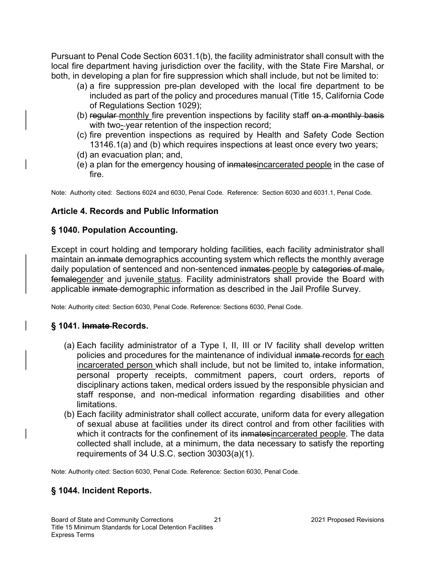Pursuant to Penal Code Section 6031.1(b), the facility administrator shall consult with the local fire department having jurisdiction over the facility, with the State Fire Marshal, or both, in developing a plan for fire suppression which shall include, but not be limited to:

- (a) a fire suppression pre-plan developed with the local fire department to be included as part of the policy and procedures manual (Title 15, California Code of Regulations Section 1029);
- (b) regular-monthly fire prevention inspections by facility staff on a monthly basis with two--year retention of the inspection record;
- (c) fire prevention inspections as required by Health and Safety Code Section 13146.1(a) and (b) which requires inspections at least once every two years;
- (d) an evacuation plan; and,
- (e) a plan for the emergency housing of inmatesincarcerated people in the case of fire.

Note: Authority cited: Sections 6024 and 6030, Penal Code. Reference: Section 6030 and 6031.1, Penal Code.

### Article 4. Records and Public Information

### § 1040. Population Accounting.

Except in court holding and temporary holding facilities, each facility administrator shall maintain an inmate demographics accounting system which reflects the monthly average daily population of sentenced and non-sentenced inmates-people by categories of male, femalegender and juvenile status. Facility administrators shall provide the Board with applicable inmate-demographic information as described in the Jail Profile Survey.

Note: Authority cited: Section 6030, Penal Code. Reference: Sections 6030, Penal Code.

## § 1041. Inmate Records.

- (a) Each facility administrator of a Type I, II, III or IV facility shall develop written policies and procedures for the maintenance of individual inmate records for each incarcerated person which shall include, but not be limited to, intake information, personal property receipts, commitment papers, court orders, reports of disciplinary actions taken, medical orders issued by the responsible physician and staff response, and non-medical information regarding disabilities and other limitations.
- (b) Each facility administrator shall collect accurate, uniform data for every allegation of sexual abuse at facilities under its direct control and from other facilities with which it contracts for the confinement of its inmatesincarcerated people. The data collected shall include, at a minimum, the data necessary to satisfy the reporting requirements of 34 U.S.C. section 30303(a)(1).

Note: Authority cited: Section 6030, Penal Code. Reference: Section 6030, Penal Code.

## § 1044. Incident Reports.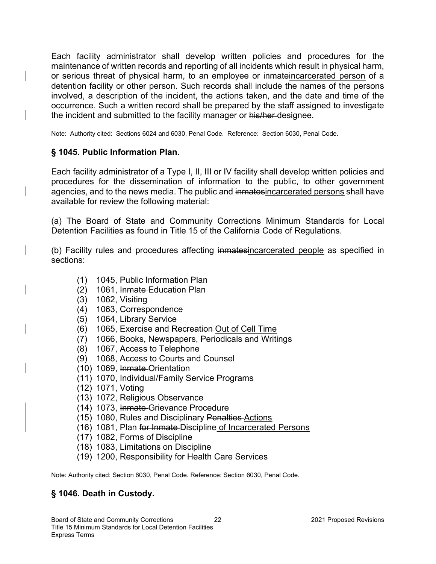Each facility administrator shall develop written policies and procedures for the maintenance of written records and reporting of all incidents which result in physical harm, or serious threat of physical harm, to an employee or inmateincarcerated person of a detention facility or other person. Such records shall include the names of the persons involved, a description of the incident, the actions taken, and the date and time of the occurrence. Such a written record shall be prepared by the staff assigned to investigate the incident and submitted to the facility manager or his/her-designee.

Note: Authority cited: Sections 6024 and 6030, Penal Code. Reference: Section 6030, Penal Code.

### § 1045. Public Information Plan.

Each facility administrator of a Type I, II, III or IV facility shall develop written policies and procedures for the dissemination of information to the public, to other government agencies, and to the news media. The public and inmatesincarcerated persons shall have available for review the following material:

(a) The Board of State and Community Corrections Minimum Standards for Local Detention Facilities as found in Title 15 of the California Code of Regulations.

(b) Facility rules and procedures affecting inmatesincarcerated people as specified in sections:

- (1) 1045, Public Information Plan
- (2) 1061, Inmate Education Plan
- (3) 1062, Visiting
- (4) 1063, Correspondence
- (5) 1064, Library Service
- (6) 1065, Exercise and Recreation Out of Cell Time
- (7) 1066, Books, Newspapers, Periodicals and Writings
- (8) 1067, Access to Telephone
- (9) 1068, Access to Courts and Counsel
- (10) 1069, Inmate Orientation
- (11) 1070, Individual/Family Service Programs
- (12) 1071, Voting
- (13) 1072, Religious Observance
- (14) 1073, Inmate Grievance Procedure
- (15) 1080, Rules and Disciplinary Penalties Actions
- (16) 1081, Plan for Inmate Discipline of Incarcerated Persons
- (17) 1082, Forms of Discipline
- (18) 1083, Limitations on Discipline
- (19) 1200, Responsibility for Health Care Services

Note: Authority cited: Section 6030, Penal Code. Reference: Section 6030, Penal Code.

### § 1046. Death in Custody.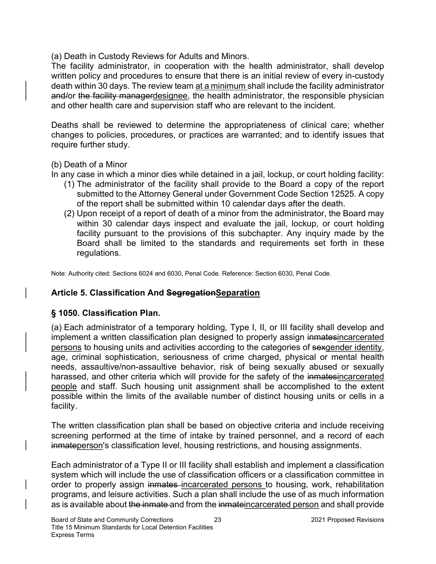(a) Death in Custody Reviews for Adults and Minors.

The facility administrator, in cooperation with the health administrator, shall develop written policy and procedures to ensure that there is an initial review of every in-custody death within 30 days. The review team at a minimum shall include the facility administrator and/or the facility managerdesignee, the health administrator, the responsible physician and other health care and supervision staff who are relevant to the incident.

Deaths shall be reviewed to determine the appropriateness of clinical care; whether changes to policies, procedures, or practices are warranted; and to identify issues that require further study.

#### (b) Death of a Minor

In any case in which a minor dies while detained in a jail, lockup, or court holding facility:

- (1) The administrator of the facility shall provide to the Board a copy of the report submitted to the Attorney General under Government Code Section 12525. A copy of the report shall be submitted within 10 calendar days after the death.
- (2) Upon receipt of a report of death of a minor from the administrator, the Board may within 30 calendar days inspect and evaluate the jail, lockup, or court holding facility pursuant to the provisions of this subchapter. Any inquiry made by the Board shall be limited to the standards and requirements set forth in these regulations.

Note: Authority cited: Sections 6024 and 6030, Penal Code. Reference: Section 6030, Penal Code.

### Article 5. Classification And SegregationSeparation

### § 1050. Classification Plan.

(a) Each administrator of a temporary holding, Type I, II, or III facility shall develop and implement a written classification plan designed to properly assign inmatesincarcerated persons to housing units and activities according to the categories of sexgender identity, age, criminal sophistication, seriousness of crime charged, physical or mental health needs, assaultive/non-assaultive behavior, risk of being sexually abused or sexually harassed, and other criteria which will provide for the safety of the inmatesincarcerated people and staff. Such housing unit assignment shall be accomplished to the extent possible within the limits of the available number of distinct housing units or cells in a facility.

The written classification plan shall be based on objective criteria and include receiving screening performed at the time of intake by trained personnel, and a record of each inmateperson's classification level, housing restrictions, and housing assignments.

Each administrator of a Type II or III facility shall establish and implement a classification system which will include the use of classification officers or a classification committee in order to properly assign inmates incarcerated persons to housing, work, rehabilitation programs, and leisure activities. Such a plan shall include the use of as much information as is available about the inmate and from the inmateincarcerated person and shall provide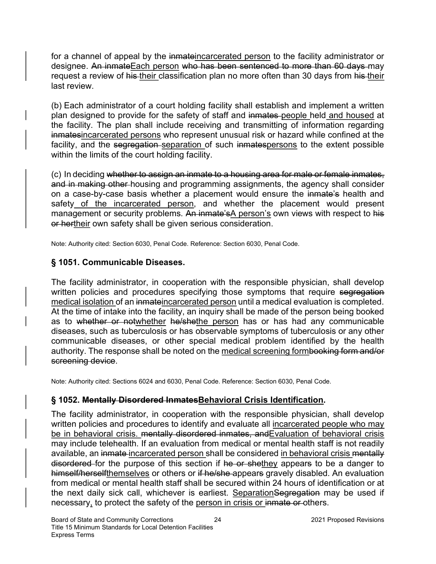for a channel of appeal by the inmateincarcerated person to the facility administrator or designee. An inmateEach person who has been sentenced to more than 60 days may request a review of his their classification plan no more often than 30 days from his their last review.

(b) Each administrator of a court holding facility shall establish and implement a written plan designed to provide for the safety of staff and inmates people held and housed at the facility. The plan shall include receiving and transmitting of information regarding inmatesincarcerated persons who represent unusual risk or hazard while confined at the facility, and the segregation separation of such inmatespersons to the extent possible within the limits of the court holding facility.

(c) In deciding whether to assign an inmate to a housing area for male or female inmates, and in making other housing and programming assignments, the agency shall consider on a case-by-case basis whether a placement would ensure the inmate's health and safety of the incarcerated person, and whether the placement would present management or security problems. An inmate's A person's own views with respect to his or hertheir own safety shall be given serious consideration.

Note: Authority cited: Section 6030, Penal Code. Reference: Section 6030, Penal Code.

## § 1051. Communicable Diseases.

The facility administrator, in cooperation with the responsible physician, shall develop written policies and procedures specifying those symptoms that require segregation medical isolation of an inmateincarcerated person until a medical evaluation is completed. At the time of intake into the facility, an inquiry shall be made of the person being booked as to whether or notwhether he/shethe person has or has had any communicable diseases, such as tuberculosis or has observable symptoms of tuberculosis or any other communicable diseases, or other special medical problem identified by the health authority. The response shall be noted on the medical screening formbooking form and/or screening device.

Note: Authority cited: Sections 6024 and 6030, Penal Code. Reference: Section 6030, Penal Code.

## § 1052. Mentally Disordered InmatesBehavioral Crisis Identification.

The facility administrator, in cooperation with the responsible physician, shall develop written policies and procedures to identify and evaluate all incarcerated people who may be in behavioral crisis. mentally disordered inmates, and Evaluation of behavioral crisis may include telehealth. If an evaluation from medical or mental health staff is not readily available, an inmate incarcerated person shall be considered in behavioral crisis mentally disordered for the purpose of this section if he or shethey appears to be a danger to himself/herselfthemselves or others or if he/she appears gravely disabled. An evaluation from medical or mental health staff shall be secured within 24 hours of identification or at the next daily sick call, whichever is earliest. Separation Segregation may be used if necessary, to protect the safety of the person in crisis or inmate or others.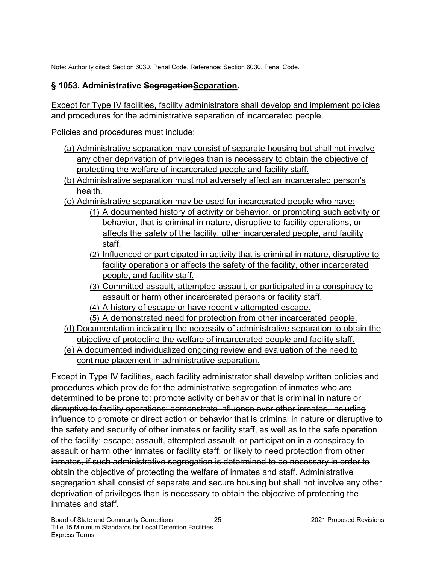Note: Authority cited: Section 6030, Penal Code. Reference: Section 6030, Penal Code.

## § 1053. Administrative SegregationSeparation.

Except for Type IV facilities, facility administrators shall develop and implement policies and procedures for the administrative separation of incarcerated people.

Policies and procedures must include:

- (a) Administrative separation may consist of separate housing but shall not involve any other deprivation of privileges than is necessary to obtain the objective of protecting the welfare of incarcerated people and facility staff.
- (b) Administrative separation must not adversely affect an incarcerated person's health.
- (c) Administrative separation may be used for incarcerated people who have:
	- (1) A documented history of activity or behavior, or promoting such activity or behavior, that is criminal in nature, disruptive to facility operations, or affects the safety of the facility, other incarcerated people, and facility staff.
	- (2) Influenced or participated in activity that is criminal in nature, disruptive to facility operations or affects the safety of the facility, other incarcerated people, and facility staff.
	- (3) Committed assault, attempted assault, or participated in a conspiracy to assault or harm other incarcerated persons or facility staff.
	- (4) A history of escape or have recently attempted escape.
	- (5) A demonstrated need for protection from other incarcerated people.
- (d) Documentation indicating the necessity of administrative separation to obtain the objective of protecting the welfare of incarcerated people and facility staff.
- (e) A documented individualized ongoing review and evaluation of the need to continue placement in administrative separation.

Except in Type IV facilities, each facility administrator shall develop written policies and procedures which provide for the administrative segregation of inmates who are determined to be prone to: promote activity or behavior that is criminal in nature or disruptive to facility operations; demonstrate influence over other inmates, including influence to promote or direct action or behavior that is criminal in nature or disruptive to the safety and security of other inmates or facility staff, as well as to the safe operation of the facility; escape; assault, attempted assault, or participation in a conspiracy to assault or harm other inmates or facility staff; or likely to need protection from other inmates, if such administrative segregation is determined to be necessary in order to obtain the objective of protecting the welfare of inmates and staff. Administrative segregation shall consist of separate and secure housing but shall not involve any other deprivation of privileges than is necessary to obtain the objective of protecting the inmates and staff.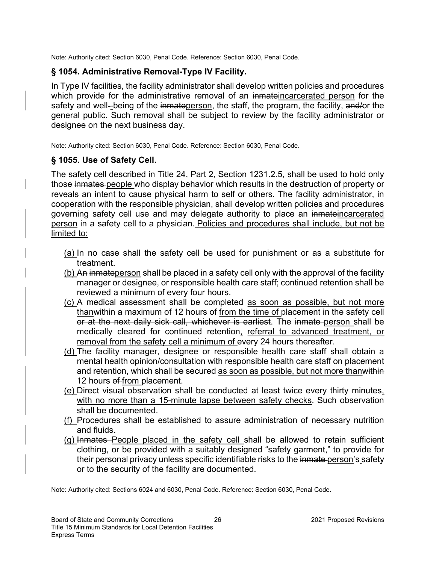Note: Authority cited: Section 6030, Penal Code. Reference: Section 6030, Penal Code.

## § 1054. Administrative Removal-Type IV Facility.

In Type IV facilities, the facility administrator shall develop written policies and procedures which provide for the administrative removal of an inmateincarcerated person for the safety and well--being of the inmateperson, the staff, the program, the facility, and/or the general public. Such removal shall be subject to review by the facility administrator or designee on the next business day.

Note: Authority cited: Section 6030, Penal Code. Reference: Section 6030, Penal Code.

### § 1055. Use of Safety Cell.

The safety cell described in Title 24, Part 2, Section 1231.2.5, shall be used to hold only those inmates people who display behavior which results in the destruction of property or reveals an intent to cause physical harm to self or others. The facility administrator, in cooperation with the responsible physician, shall develop written policies and procedures governing safety cell use and may delegate authority to place an inmateincarcerated person in a safety cell to a physician. Policies and procedures shall include, but not be limited to:

- (a) In no case shall the safety cell be used for punishment or as a substitute for treatment.
- (b) An inmateperson shall be placed in a safety cell only with the approval of the facility manager or designee, or responsible health care staff; continued retention shall be reviewed a minimum of every four hours.
- (c) A medical assessment shall be completed as soon as possible, but not more thanwithin a maximum of 12 hours of from the time of placement in the safety cell or at the next daily sick call, whichever is earliest. The inmate person shall be medically cleared for continued retention, referral to advanced treatment, or removal from the safety cell a minimum of every 24 hours thereafter.
- (d) The facility manager, designee or responsible health care staff shall obtain a mental health opinion/consultation with responsible health care staff on placement and retention, which shall be secured as soon as possible, but not more thanwithin 12 hours of from placement.
- (e) Direct visual observation shall be conducted at least twice every thirty minutes, with no more than a 15-minute lapse between safety checks. Such observation shall be documented.
- (f) Procedures shall be established to assure administration of necessary nutrition and fluids.
- (g) Inmates People placed in the safety cell shall be allowed to retain sufficient clothing, or be provided with a suitably designed "safety garment," to provide for their personal privacy unless specific identifiable risks to the inmate person's safety or to the security of the facility are documented.

Note: Authority cited: Sections 6024 and 6030, Penal Code. Reference: Section 6030, Penal Code.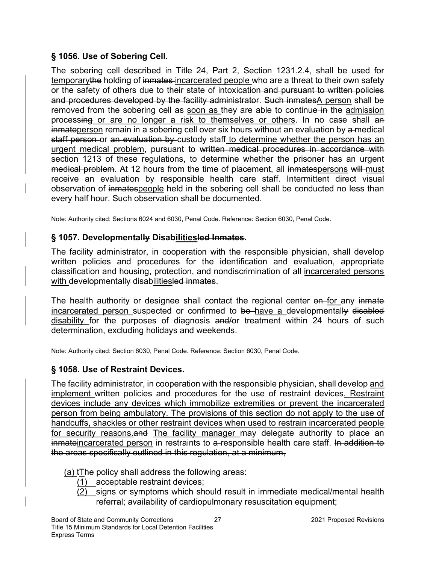## § 1056. Use of Sobering Cell.

The sobering cell described in Title 24, Part 2, Section 1231.2.4, shall be used for temporarythe holding of inmates-incarcerated people who are a threat to their own safety or the safety of others due to their state of intoxication and pursuant to written policies and procedures developed by the facility administrator. Such inmatesA person shall be removed from the sobering cell as soon as they are able to continue in the admission processing or are no longer a risk to themselves or others. In no case shall an inmateperson remain in a sobering cell over six hours without an evaluation by a medical staff person or an evaluation by custody staff to determine whether the person has an urgent medical problem, pursuant to written medical procedures in accordance with section 1213 of these regulations, to determine whether the prisoner has an urgent medical problem. At 12 hours from the time of placement, all inmatespersons will must receive an evaluation by responsible health care staff. Intermittent direct visual observation of inmatespeople held in the sobering cell shall be conducted no less than every half hour. Such observation shall be documented.

Note: Authority cited: Sections 6024 and 6030, Penal Code. Reference: Section 6030, Penal Code.

## § 1057. Developmentally Disabilitiesled Inmates.

The facility administrator, in cooperation with the responsible physician, shall develop written policies and procedures for the identification and evaluation, appropriate classification and housing, protection, and nondiscrimination of all incarcerated persons with developmentally disabilitiesled inmates.

The health authority or designee shall contact the regional center on for any inmate incarcerated person suspected or confirmed to be have a developmentally disabled disability for the purposes of diagnosis and/or treatment within 24 hours of such determination, excluding holidays and weekends.

Note: Authority cited: Section 6030, Penal Code. Reference: Section 6030, Penal Code.

## § 1058. Use of Restraint Devices.

The facility administrator, in cooperation with the responsible physician, shall develop and implement written policies and procedures for the use of restraint devices. Restraint devices include any devices which immobilize extremities or prevent the incarcerated person from being ambulatory. The provisions of this section do not apply to the use of handcuffs, shackles or other restraint devices when used to restrain incarcerated people for security reasons and The facility manager may delegate authority to place an inmateincarcerated person in restraints to a-responsible health care staff. In addition to the areas specifically outlined in this regulation, at a minimum,

(a) tThe policy shall address the following areas:

- (1) acceptable restraint devices;
- (2) signs or symptoms which should result in immediate medical/mental health referral; availability of cardiopulmonary resuscitation equipment;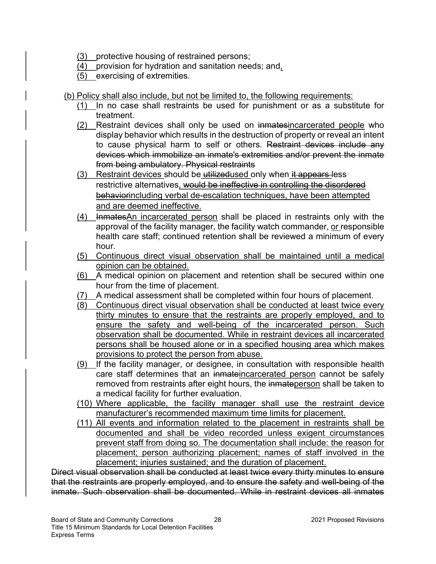- (3) protective housing of restrained persons;
- (4) provision for hydration and sanitation needs; and,
- (5) exercising of extremities.
- (b) Policy shall also include, but not be limited to, the following requirements:
	- (1) In no case shall restraints be used for punishment or as a substitute for treatment.
	- (2) Restraint devices shall only be used on inmatesincarcerated people who display behavior which results in the destruction of property or reveal an intent to cause physical harm to self or others. Restraint devices include any devices which immobilize an inmate's extremities and/or prevent the inmate from being ambulatory. Physical restraints
	- (3) Restraint devices should be utilizedused only when it appears less restrictive alternatives, would be ineffective in controlling the disordered behaviorincluding verbal de-escalation techniques, have been attempted and are deemed ineffective.
	- (4) InmatesAn incarcerated person shall be placed in restraints only with the approval of the facility manager, the facility watch commander, or responsible health care staff; continued retention shall be reviewed a minimum of every hour.
	- (5) Continuous direct visual observation shall be maintained until a medical opinion can be obtained.
	- (6) A medical opinion on placement and retention shall be secured within one hour from the time of placement.
	- (7) A medical assessment shall be completed within four hours of placement.
	- (8) Continuous direct visual observation shall be conducted at least twice every thirty minutes to ensure that the restraints are properly employed, and to ensure the safety and well-being of the incarcerated person. Such observation shall be documented. While in restraint devices all incarcerated persons shall be housed alone or in a specified housing area which makes provisions to protect the person from abuse.
	- (9) If the facility manager, or designee, in consultation with responsible health care staff determines that an inmateincarcerated person cannot be safely removed from restraints after eight hours, the inmateperson shall be taken to a medical facility for further evaluation.
	- (10) Where applicable, the facility manager shall use the restraint device manufacturer's recommended maximum time limits for placement.
	- (11) All events and information related to the placement in restraints shall be documented and shall be video recorded unless exigent circumstances prevent staff from doing so. The documentation shall include: the reason for placement; person authorizing placement; names of staff involved in the placement; injuries sustained; and the duration of placement.

Direct visual observation shall be conducted at least twice every thirty minutes to ensure that the restraints are properly employed, and to ensure the safety and well-being of the inmate. Such observation shall be documented. While in restraint devices all inmates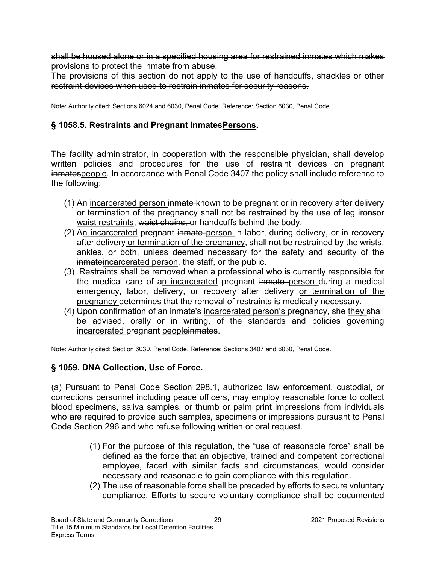shall be housed alone or in a specified housing area for restrained inmates which makes provisions to protect the inmate from abuse.

The provisions of this section do not apply to the use of handcuffs, shackles or other restraint devices when used to restrain inmates for security reasons.

Note: Authority cited: Sections 6024 and 6030, Penal Code. Reference: Section 6030, Penal Code.

## § 1058.5. Restraints and Pregnant InmatesPersons.

The facility administrator, in cooperation with the responsible physician, shall develop written policies and procedures for the use of restraint devices on pregnant inmatespeople. In accordance with Penal Code 3407 the policy shall include reference to the following:

- (1) An incarcerated person inmate known to be pregnant or in recovery after delivery or termination of the pregnancy shall not be restrained by the use of leg ironsor waist restraints, waist chains, or handcuffs behind the body.
- (2) An incarcerated pregnant inmate person in labor, during delivery, or in recovery after delivery or termination of the pregnancy, shall not be restrained by the wrists, ankles, or both, unless deemed necessary for the safety and security of the inmateincarcerated person, the staff, or the public.
- (3) Restraints shall be removed when a professional who is currently responsible for the medical care of an incarcerated pregnant inmate person during a medical emergency, labor, delivery, or recovery after delivery or termination of the pregnancy determines that the removal of restraints is medically necessary.
- (4) Upon confirmation of an inmate's incarcerated person's pregnancy, she they shall be advised, orally or in writing, of the standards and policies governing incarcerated pregnant peopleinmates.

Note: Authority cited: Section 6030, Penal Code. Reference: Sections 3407 and 6030, Penal Code.

### § 1059. DNA Collection, Use of Force.

(a) Pursuant to Penal Code Section 298.1, authorized law enforcement, custodial, or corrections personnel including peace officers, may employ reasonable force to collect blood specimens, saliva samples, or thumb or palm print impressions from individuals who are required to provide such samples, specimens or impressions pursuant to Penal Code Section 296 and who refuse following written or oral request.

- (1) For the purpose of this regulation, the "use of reasonable force" shall be defined as the force that an objective, trained and competent correctional employee, faced with similar facts and circumstances, would consider necessary and reasonable to gain compliance with this regulation.
- (2) The use of reasonable force shall be preceded by efforts to secure voluntary compliance. Efforts to secure voluntary compliance shall be documented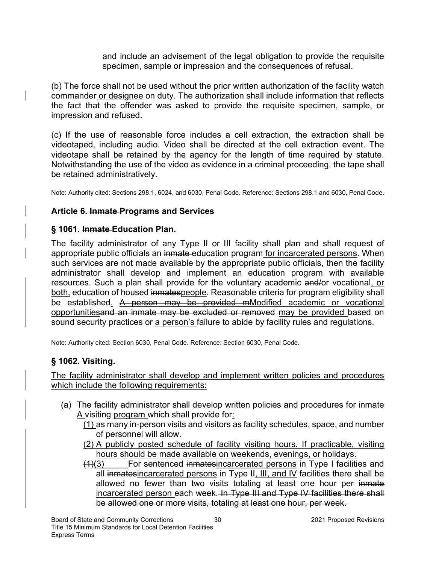and include an advisement of the legal obligation to provide the requisite specimen, sample or impression and the consequences of refusal.

(b) The force shall not be used without the prior written authorization of the facility watch commander or designee on duty. The authorization shall include information that reflects the fact that the offender was asked to provide the requisite specimen, sample, or impression and refused.

(c) If the use of reasonable force includes a cell extraction, the extraction shall be videotaped, including audio. Video shall be directed at the cell extraction event. The videotape shall be retained by the agency for the length of time required by statute. Notwithstanding the use of the video as evidence in a criminal proceeding, the tape shall be retained administratively.

Note: Authority cited: Sections 298.1, 6024, and 6030, Penal Code. Reference: Sections 298.1 and 6030, Penal Code.

## Article 6. Inmate Programs and Services

### § 1061. Inmate Education Plan.

The facility administrator of any Type II or III facility shall plan and shall request of appropriate public officials an inmate education program for incarcerated persons. When such services are not made available by the appropriate public officials, then the facility administrator shall develop and implement an education program with available resources. Such a plan shall provide for the voluntary academic and/or vocational, or both, education of housed inmatespeople. Reasonable criteria for program eligibility shall be established. A person may be provided mModified academic or vocational opportunitiesand an inmate may be excluded or removed may be provided based on sound security practices or a person's failure to abide by facility rules and regulations.

Note: Authority cited: Section 6030, Penal Code. Reference: Section 6030, Penal Code.

## § 1062. Visiting.

The facility administrator shall develop and implement written policies and procedures which include the following requirements:

(a) The facility administrator shall develop written policies and procedures for inmate A visiting program which shall provide for:

(1) as many in-person visits and visitors as facility schedules, space, and number of personnel will allow.

- (2) A publicly posted schedule of facility visiting hours. If practicable, visiting hours should be made available on weekends, evenings, or holidays.
- (1)(3) For sentenced inmatesincarcerated persons in Type I facilities and all inmatesincarcerated persons in Type II, III, and IV facilities there shall be allowed no fewer than two visits totaling at least one hour per inmate incarcerated person each week. In Type III and Type IV facilities there shall be allowed one or more visits, totaling at least one hour, per week.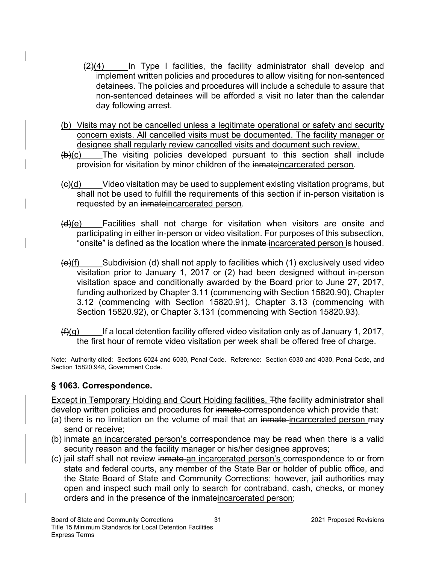- $(2)(4)$  In Type I facilities, the facility administrator shall develop and implement written policies and procedures to allow visiting for non-sentenced detainees. The policies and procedures will include a schedule to assure that non-sentenced detainees will be afforded a visit no later than the calendar day following arrest.
- (b) Visits may not be cancelled unless a legitimate operational or safety and security concern exists. All cancelled visits must be documented. The facility manager or designee shall regularly review cancelled visits and document such review.
- $(b)(c)$  The visiting policies developed pursuant to this section shall include provision for visitation by minor children of the inmateincarcerated person.
- (c)(d) Video visitation may be used to supplement existing visitation programs, but shall not be used to fulfill the requirements of this section if in-person visitation is requested by an inmateincarcerated person.
- (d)(e) Facilities shall not charge for visitation when visitors are onsite and participating in either in-person or video visitation. For purposes of this subsection, "onsite" is defined as the location where the inmate incarcerated person is housed.
- $\left(\frac{e}{f}\right)$  Subdivision (d) shall not apply to facilities which (1) exclusively used video visitation prior to January 1, 2017 or (2) had been designed without in-person visitation space and conditionally awarded by the Board prior to June 27, 2017, funding authorized by Chapter 3.11 (commencing with Section 15820.90), Chapter 3.12 (commencing with Section 15820.91), Chapter 3.13 (commencing with Section 15820.92), or Chapter 3.131 (commencing with Section 15820.93).
- $(f)(q)$  If a local detention facility offered video visitation only as of January 1, 2017, the first hour of remote video visitation per week shall be offered free of charge.

Note: Authority cited: Sections 6024 and 6030, Penal Code. Reference: Section 6030 and 4030, Penal Code, and Section 15820.948, Government Code.

### § 1063. Correspondence.

Except in Temporary Holding and Court Holding facilities, Tthe facility administrator shall develop written policies and procedures for inmate correspondence which provide that:

- (a) there is no limitation on the volume of mail that an inmate incarcerated person may send or receive;
- (b) inmate an incarcerated person's correspondence may be read when there is a valid security reason and the facility manager or his/her-designee approves;
- (c) jail staff shall not review inmate an incarcerated person's correspondence to or from state and federal courts, any member of the State Bar or holder of public office, and the State Board of State and Community Corrections; however, jail authorities may open and inspect such mail only to search for contraband, cash, checks, or money orders and in the presence of the inmateincarcerated person;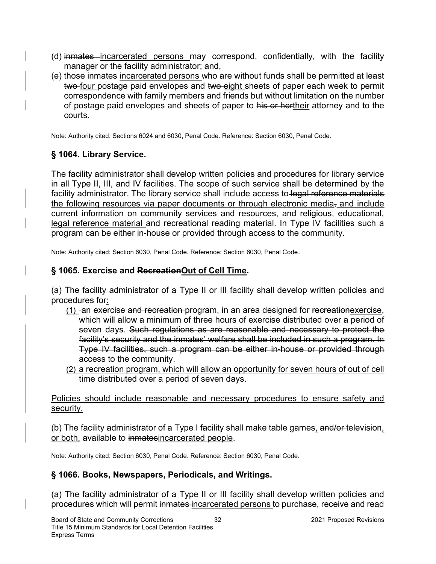- (d) inmates incarcerated persons may correspond, confidentially, with the facility manager or the facility administrator; and,
- (e) those inmates incarcerated persons who are without funds shall be permitted at least two-four postage paid envelopes and two-eight sheets of paper each week to permit correspondence with family members and friends but without limitation on the number of postage paid envelopes and sheets of paper to his or hertheir attorney and to the courts.

Note: Authority cited: Sections 6024 and 6030, Penal Code. Reference: Section 6030, Penal Code.

# § 1064. Library Service.

The facility administrator shall develop written policies and procedures for library service in all Type II, III, and IV facilities. The scope of such service shall be determined by the facility administrator. The library service shall include access to legal reference materials the following resources via paper documents or through electronic media, and include current information on community services and resources, and religious, educational, legal reference material and recreational reading material. In Type IV facilities such a program can be either in-house or provided through access to the community.

Note: Authority cited: Section 6030, Penal Code. Reference: Section 6030, Penal Code.

## § 1065. Exercise and RecreationOut of Cell Time.

(a) The facility administrator of a Type II or III facility shall develop written policies and procedures for:

- (1) an exercise and recreation program, in an area designed for recreationexercise, which will allow a minimum of three hours of exercise distributed over a period of seven days. Such regulations as are reasonable and necessary to protect the facility's security and the inmates' welfare shall be included in such a program. In Type IV facilities, such a program can be either in-house or provided through access to the community.
- (2) a recreation program, which will allow an opportunity for seven hours of out of cell time distributed over a period of seven days.

Policies should include reasonable and necessary procedures to ensure safety and security.

(b) The facility administrator of a Type I facility shall make table games, and/or television, or both, available to inmatesincarcerated people.

Note: Authority cited: Section 6030, Penal Code. Reference: Section 6030, Penal Code.

## § 1066. Books, Newspapers, Periodicals, and Writings.

(a) The facility administrator of a Type II or III facility shall develop written policies and procedures which will permit inmates incarcerated persons to purchase, receive and read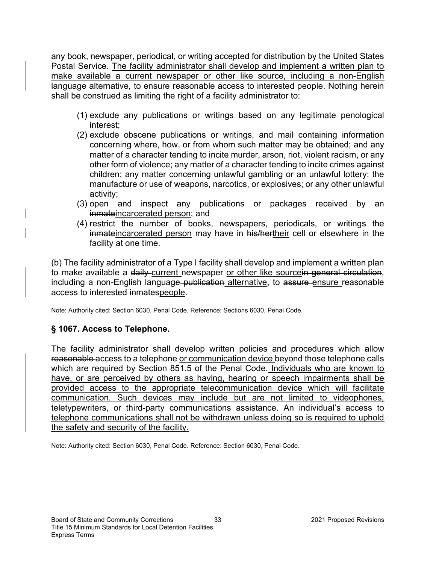any book, newspaper, periodical, or writing accepted for distribution by the United States Postal Service. The facility administrator shall develop and implement a written plan to make available a current newspaper or other like source, including a non-English language alternative, to ensure reasonable access to interested people. Nothing herein shall be construed as limiting the right of a facility administrator to:

- (1) exclude any publications or writings based on any legitimate penological interest;
- (2) exclude obscene publications or writings, and mail containing information concerning where, how, or from whom such matter may be obtained; and any matter of a character tending to incite murder, arson, riot, violent racism, or any other form of violence; any matter of a character tending to incite crimes against children; any matter concerning unlawful gambling or an unlawful lottery; the manufacture or use of weapons, narcotics, or explosives; or any other unlawful activity;
- (3) open and inspect any publications or packages received by an inmateincarcerated person; and
- (4) restrict the number of books, newspapers, periodicals, or writings the inmateincarcerated person may have in his/hertheir cell or elsewhere in the facility at one time.

(b) The facility administrator of a Type I facility shall develop and implement a written plan to make available a daily-current newspaper or other like sourcein general circulation, including a non-English language-publication alternative, to assure ensure reasonable access to interested inmatespeople.

Note: Authority cited: Section 6030, Penal Code. Reference: Sections 6030, Penal Code.

### § 1067. Access to Telephone.

The facility administrator shall develop written policies and procedures which allow reasonable access to a telephone or communication device beyond those telephone calls which are required by Section 851.5 of the Penal Code. Individuals who are known to have, or are perceived by others as having, hearing or speech impairments shall be provided access to the appropriate telecommunication device which will facilitate communication. Such devices may include but are not limited to videophones, teletypewriters, or third-party communications assistance. An individual's access to telephone communications shall not be withdrawn unless doing so is required to uphold the safety and security of the facility.

Note: Authority cited: Section 6030, Penal Code. Reference: Section 6030, Penal Code.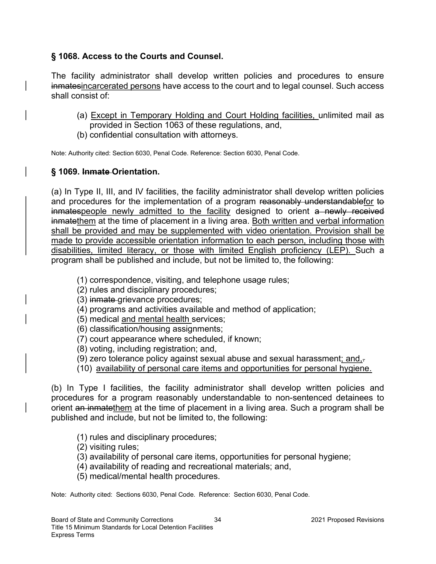### § 1068. Access to the Courts and Counsel.

The facility administrator shall develop written policies and procedures to ensure inmatesincarcerated persons have access to the court and to legal counsel. Such access shall consist of:

- (a) Except in Temporary Holding and Court Holding facilities, unlimited mail as provided in Section 1063 of these regulations, and,
- (b) confidential consultation with attorneys.

Note: Authority cited: Section 6030, Penal Code. Reference: Section 6030, Penal Code.

### § 1069. Inmate Orientation.

(a) In Type II, III, and IV facilities, the facility administrator shall develop written policies and procedures for the implementation of a program reasonably understandablefor to inmatespeople newly admitted to the facility designed to orient a newly received inmatethem at the time of placement in a living area. Both written and verbal information shall be provided and may be supplemented with video orientation. Provision shall be made to provide accessible orientation information to each person, including those with disabilities, limited literacy, or those with limited English proficiency (LEP). Such a program shall be published and include, but not be limited to, the following:

- (1) correspondence, visiting, and telephone usage rules;
- (2) rules and disciplinary procedures;
- (3) inmate grievance procedures;
- (4) programs and activities available and method of application;
- (5) medical and mental health services;
- (6) classification/housing assignments;
- (7) court appearance where scheduled, if known;
- (8) voting, including registration; and,
- (9) zero tolerance policy against sexual abuse and sexual harassment; and, $=$
- (10) availability of personal care items and opportunities for personal hygiene.

(b) In Type I facilities, the facility administrator shall develop written policies and procedures for a program reasonably understandable to non-sentenced detainees to orient an inmatethem at the time of placement in a living area. Such a program shall be published and include, but not be limited to, the following:

- (1) rules and disciplinary procedures;
- (2) visiting rules;
- (3) availability of personal care items, opportunities for personal hygiene;
- (4) availability of reading and recreational materials; and,
- (5) medical/mental health procedures.

Note: Authority cited: Sections 6030, Penal Code. Reference: Section 6030, Penal Code.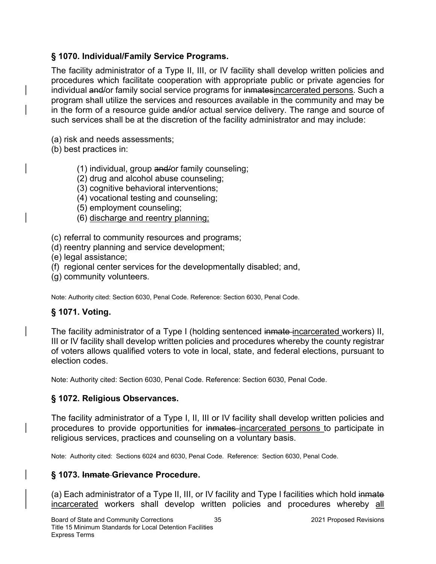## § 1070. Individual/Family Service Programs.

The facility administrator of a Type II, III, or IV facility shall develop written policies and procedures which facilitate cooperation with appropriate public or private agencies for individual and/or family social service programs for inmatesincarcerated persons. Such a program shall utilize the services and resources available in the community and may be in the form of a resource guide and/or actual service delivery. The range and source of such services shall be at the discretion of the facility administrator and may include:

- (a) risk and needs assessments;
- (b) best practices in:
	- (1) individual, group and/or family counseling;
	- (2) drug and alcohol abuse counseling;
	- (3) cognitive behavioral interventions;
	- (4) vocational testing and counseling;
	- (5) employment counseling;
	- (6) discharge and reentry planning;
- (c) referral to community resources and programs;
- (d) reentry planning and service development;
- (e) legal assistance;
- (f) regional center services for the developmentally disabled; and,
- (g) community volunteers.

Note: Authority cited: Section 6030, Penal Code. Reference: Section 6030, Penal Code.

### § 1071. Voting.

The facility administrator of a Type I (holding sentenced inmate incarcerated workers) II, III or IV facility shall develop written policies and procedures whereby the county registrar of voters allows qualified voters to vote in local, state, and federal elections, pursuant to election codes.

Note: Authority cited: Section 6030, Penal Code. Reference: Section 6030, Penal Code.

### § 1072. Religious Observances.

The facility administrator of a Type I, II, III or IV facility shall develop written policies and procedures to provide opportunities for inmates incarcerated persons to participate in religious services, practices and counseling on a voluntary basis.

Note: Authority cited: Sections 6024 and 6030, Penal Code. Reference: Section 6030, Penal Code.

### § 1073. Inmate Grievance Procedure.

(a) Each administrator of a Type II, III, or IV facility and Type I facilities which hold inmate incarcerated workers shall develop written policies and procedures whereby all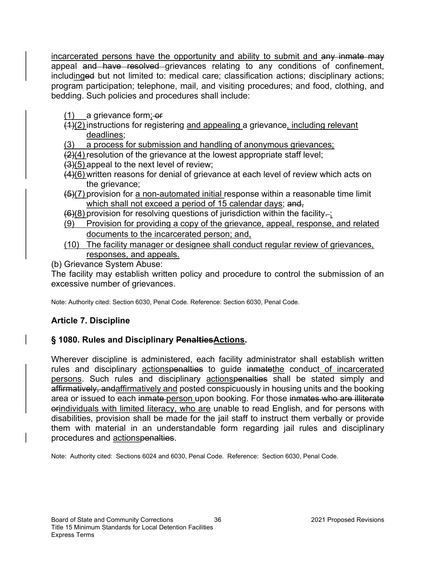incarcerated persons have the opportunity and ability to submit and any inmate may appeal and have resolved grievances relating to any conditions of confinement, includinged but not limited to: medical care; classification actions; disciplinary actions; program participation; telephone, mail, and visiting procedures; and food, clothing, and bedding. Such policies and procedures shall include:

 $(1)$  a grievance form;  $-$ or

 $(1)(2)$  instructions for registering and appealing a grievance, including relevant deadlines;

(3) a process for submission and handling of anonymous grievances;

 $(2)(4)$  resolution of the grievance at the lowest appropriate staff level;

- $(3)(5)$  appeal to the next level of review;
- (4)(6) written reasons for denial of grievance at each level of review which acts on the grievance;
- $(5)(7)$  provision for a non-automated initial response within a reasonable time limit which shall not exceed a period of 15 calendar days; and,

 $(6)(8)$  provision for resolving questions of jurisdiction within the facility-;

- (9) Provision for providing a copy of the grievance, appeal, response, and related documents to the incarcerated person; and,
- (10) The facility manager or designee shall conduct regular review of grievances, responses, and appeals.

(b) Grievance System Abuse:

The facility may establish written policy and procedure to control the submission of an excessive number of grievances.

Note: Authority cited: Section 6030, Penal Code. Reference: Section 6030, Penal Code.

## Article 7. Discipline

## § 1080. Rules and Disciplinary Penalties Actions.

Wherever discipline is administered, each facility administrator shall establish written rules and disciplinary actionspenalties to guide inmatethe conduct of incarcerated persons. Such rules and disciplinary actionspenalties shall be stated simply and affirmatively, andaffirmatively and posted conspicuously in housing units and the booking area or issued to each inmate person upon booking. For those inmates who are illiterate orindividuals with limited literacy, who are unable to read English, and for persons with disabilities, provision shall be made for the jail staff to instruct them verbally or provide them with material in an understandable form regarding jail rules and disciplinary procedures and actionspenalties.

Note: Authority cited: Sections 6024 and 6030, Penal Code. Reference: Section 6030, Penal Code.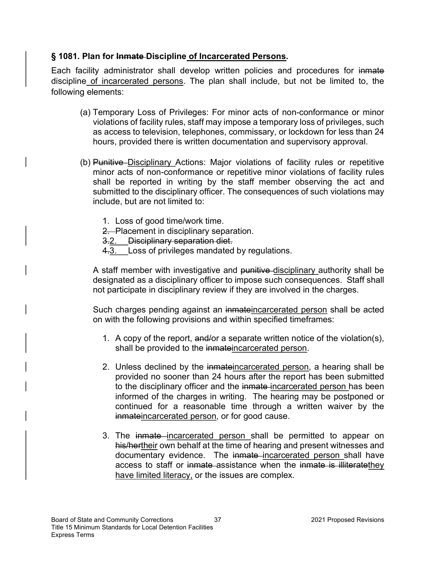## § 1081. Plan for Inmate Discipline of Incarcerated Persons.

Each facility administrator shall develop written policies and procedures for inmate discipline of incarcerated persons. The plan shall include, but not be limited to, the following elements:

- (a) Temporary Loss of Privileges: For minor acts of non-conformance or minor violations of facility rules, staff may impose a temporary loss of privileges, such as access to television, telephones, commissary, or lockdown for less than 24 hours, provided there is written documentation and supervisory approval.
- (b) Punitive Disciplinary Actions: Major violations of facility rules or repetitive minor acts of non-conformance or repetitive minor violations of facility rules shall be reported in writing by the staff member observing the act and submitted to the disciplinary officer. The consequences of such violations may include, but are not limited to:
	- 1. Loss of good time/work time.
	- 2. Placement in disciplinary separation.
	- 3.2. Disciplinary separation diet.
	- 4.3. Loss of privileges mandated by regulations.

A staff member with investigative and punitive disciplinary authority shall be designated as a disciplinary officer to impose such consequences. Staff shall not participate in disciplinary review if they are involved in the charges.

Such charges pending against an inmateincarcerated person shall be acted on with the following provisions and within specified timeframes:

- 1. A copy of the report, and/or a separate written notice of the violation(s), shall be provided to the inmateincarcerated person.
- 2. Unless declined by the inmateincarcerated person, a hearing shall be provided no sooner than 24 hours after the report has been submitted to the disciplinary officer and the inmate-incarcerated person has been informed of the charges in writing. The hearing may be postponed or continued for a reasonable time through a written waiver by the inmateincarcerated person, or for good cause.
- 3. The inmate incarcerated person shall be permitted to appear on his/hertheir own behalf at the time of hearing and present witnesses and documentary evidence. The inmate incarcerated person shall have access to staff or inmate assistance when the inmate is illiteratethey have limited literacy, or the issues are complex.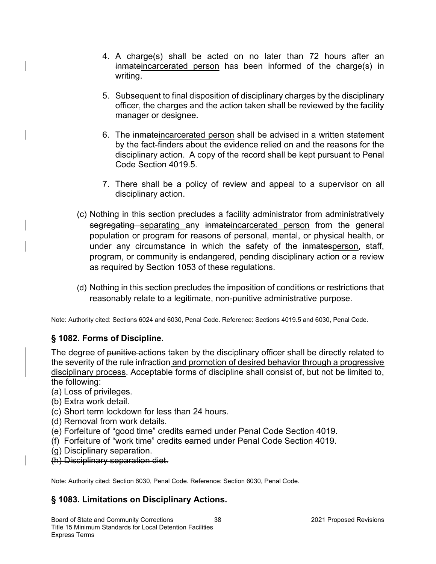- 4. A charge(s) shall be acted on no later than 72 hours after an inmateincarcerated person has been informed of the charge(s) in writing.
- 5. Subsequent to final disposition of disciplinary charges by the disciplinary officer, the charges and the action taken shall be reviewed by the facility manager or designee.
- 6. The inmateincarcerated person shall be advised in a written statement by the fact-finders about the evidence relied on and the reasons for the disciplinary action. A copy of the record shall be kept pursuant to Penal Code Section 4019.5.
- 7. There shall be a policy of review and appeal to a supervisor on all disciplinary action.
- (c) Nothing in this section precludes a facility administrator from administratively segregating separating any inmateincarcerated person from the general population or program for reasons of personal, mental, or physical health, or under any circumstance in which the safety of the inmatesperson, staff, program, or community is endangered, pending disciplinary action or a review as required by Section 1053 of these regulations.
- (d) Nothing in this section precludes the imposition of conditions or restrictions that reasonably relate to a legitimate, non-punitive administrative purpose.

Note: Authority cited: Sections 6024 and 6030, Penal Code. Reference: Sections 4019.5 and 6030, Penal Code.

### § 1082. Forms of Discipline.

The degree of punitive actions taken by the disciplinary officer shall be directly related to the severity of the rule infraction and promotion of desired behavior through a progressive disciplinary process. Acceptable forms of discipline shall consist of, but not be limited to, the following:

- (a) Loss of privileges.
- (b) Extra work detail.
- (c) Short term lockdown for less than 24 hours.
- (d) Removal from work details.
- (e) Forfeiture of "good time" credits earned under Penal Code Section 4019.
- (f) Forfeiture of "work time" credits earned under Penal Code Section 4019.
- (g) Disciplinary separation.
- (h) Disciplinary separation diet.

Note: Authority cited: Section 6030, Penal Code. Reference: Section 6030, Penal Code.

### § 1083. Limitations on Disciplinary Actions.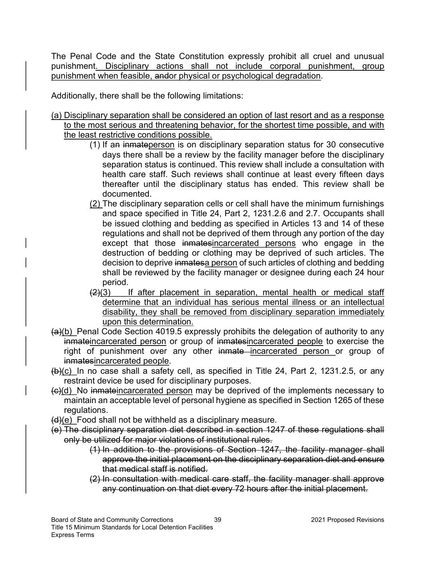The Penal Code and the State Constitution expressly prohibit all cruel and unusual punishment. Disciplinary actions shall not include corporal punishment, group punishment when feasible, andor physical or psychological degradation.

Additionally, there shall be the following limitations:

- (a) Disciplinary separation shall be considered an option of last resort and as a response to the most serious and threatening behavior, for the shortest time possible, and with the least restrictive conditions possible.
	- (1) If an inmateperson is on disciplinary separation status for 30 consecutive days there shall be a review by the facility manager before the disciplinary separation status is continued. This review shall include a consultation with health care staff. Such reviews shall continue at least every fifteen days thereafter until the disciplinary status has ended. This review shall be documented.
	- (2) The disciplinary separation cells or cell shall have the minimum furnishings and space specified in Title 24, Part 2, 1231.2.6 and 2.7. Occupants shall be issued clothing and bedding as specified in Articles 13 and 14 of these regulations and shall not be deprived of them through any portion of the day except that those inmatesincarcerated persons who engage in the destruction of bedding or clothing may be deprived of such articles. The decision to deprive inmatesa person of such articles of clothing and bedding shall be reviewed by the facility manager or designee during each 24 hour period.
	- $(2)(3)$  If after placement in separation, mental health or medical staff determine that an individual has serious mental illness or an intellectual disability, they shall be removed from disciplinary separation immediately upon this determination.
- (a)(b) Penal Code Section 4019.5 expressly prohibits the delegation of authority to any inmateincarcerated person or group of inmatesincarcerated people to exercise the right of punishment over any other inmate incarcerated person or group of inmatesincarcerated people.
- (b)(c) In no case shall a safety cell, as specified in Title 24, Part 2, 1231.2.5, or any restraint device be used for disciplinary purposes.
- (c)(d) No inmateincarcerated person may be deprived of the implements necessary to maintain an acceptable level of personal hygiene as specified in Section 1265 of these regulations.
- $(d)(e)$  Food shall not be withheld as a disciplinary measure.
- (e) The disciplinary separation diet described in section 1247 of these regulations shall only be utilized for major violations of institutional rules.
	- (1) In addition to the provisions of Section 1247, the facility manager shall approve the initial placement on the disciplinary separation diet and ensure that medical staff is notified.
	- (2) In consultation with medical care staff, the facility manager shall approve any continuation on that diet every 72 hours after the initial placement.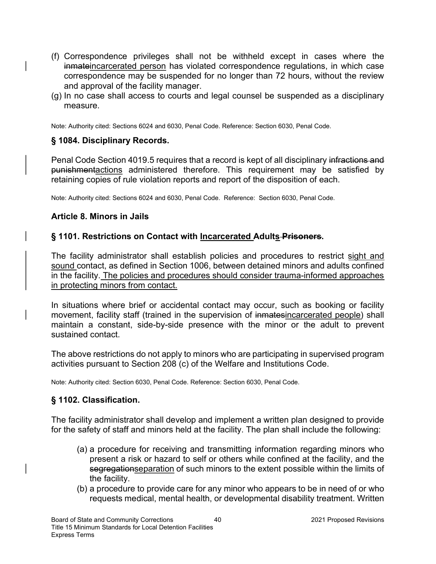- (f) Correspondence privileges shall not be withheld except in cases where the inmateincarcerated person has violated correspondence regulations, in which case correspondence may be suspended for no longer than 72 hours, without the review and approval of the facility manager.
- (g) In no case shall access to courts and legal counsel be suspended as a disciplinary measure.

Note: Authority cited: Sections 6024 and 6030, Penal Code. Reference: Section 6030, Penal Code.

#### § 1084. Disciplinary Records.

Penal Code Section 4019.5 requires that a record is kept of all disciplinary infractions and punishmentactions administered therefore. This requirement may be satisfied by retaining copies of rule violation reports and report of the disposition of each.

Note: Authority cited: Sections 6024 and 6030, Penal Code. Reference: Section 6030, Penal Code.

#### Article 8. Minors in Jails

#### § 1101. Restrictions on Contact with Incarcerated Adults Prisoners.

The facility administrator shall establish policies and procedures to restrict sight and sound contact, as defined in Section 1006, between detained minors and adults confined in the facility. The policies and procedures should consider trauma-informed approaches in protecting minors from contact.

In situations where brief or accidental contact may occur, such as booking or facility movement, facility staff (trained in the supervision of inmatesincarcerated people) shall maintain a constant, side-by-side presence with the minor or the adult to prevent sustained contact.

The above restrictions do not apply to minors who are participating in supervised program activities pursuant to Section 208 (c) of the Welfare and Institutions Code.

Note: Authority cited: Section 6030, Penal Code. Reference: Section 6030, Penal Code.

### § 1102. Classification.

The facility administrator shall develop and implement a written plan designed to provide for the safety of staff and minors held at the facility. The plan shall include the following:

- (a) a procedure for receiving and transmitting information regarding minors who present a risk or hazard to self or others while confined at the facility, and the segregationseparation of such minors to the extent possible within the limits of the facility.
- (b) a procedure to provide care for any minor who appears to be in need of or who requests medical, mental health, or developmental disability treatment. Written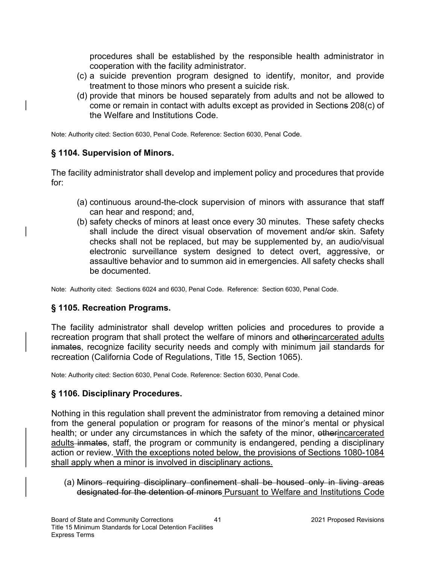procedures shall be established by the responsible health administrator in cooperation with the facility administrator.

- (c) a suicide prevention program designed to identify, monitor, and provide treatment to those minors who present a suicide risk.
- (d) provide that minors be housed separately from adults and not be allowed to come or remain in contact with adults except as provided in Sections 208(c) of the Welfare and Institutions Code.

Note: Authority cited: Section 6030, Penal Code. Reference: Section 6030, Penal Code.

### § 1104. Supervision of Minors.

The facility administrator shall develop and implement policy and procedures that provide for:

- (a) continuous around-the-clock supervision of minors with assurance that staff can hear and respond; and,
- (b) safety checks of minors at least once every 30 minutes. These safety checks shall include the direct visual observation of movement and/or skin. Safety checks shall not be replaced, but may be supplemented by, an audio/visual electronic surveillance system designed to detect overt, aggressive, or assaultive behavior and to summon aid in emergencies. All safety checks shall be documented.

Note: Authority cited: Sections 6024 and 6030, Penal Code. Reference: Section 6030, Penal Code.

### § 1105. Recreation Programs.

The facility administrator shall develop written policies and procedures to provide a recreation program that shall protect the welfare of minors and otherincarcerated adults inmates, recognize facility security needs and comply with minimum jail standards for recreation (California Code of Regulations, Title 15, Section 1065).

Note: Authority cited: Section 6030, Penal Code. Reference: Section 6030, Penal Code.

#### § 1106. Disciplinary Procedures.

Nothing in this regulation shall prevent the administrator from removing a detained minor from the general population or program for reasons of the minor's mental or physical health; or under any circumstances in which the safety of the minor, otherincarcerated adults-inmates, staff, the program or community is endangered, pending a disciplinary action or review. With the exceptions noted below, the provisions of Sections 1080-1084 shall apply when a minor is involved in disciplinary actions.

(a) Minors requiring disciplinary confinement shall be housed only in living areas designated for the detention of minors Pursuant to Welfare and Institutions Code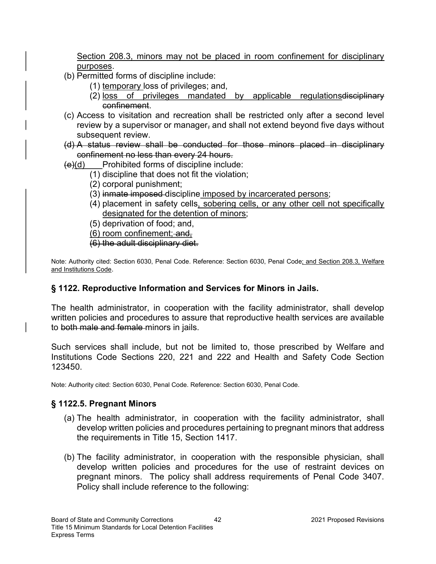Section 208.3, minors may not be placed in room confinement for disciplinary purposes.

- (b) Permitted forms of discipline include:
	- (1) temporary loss of privileges; and,
	- (2) loss of privileges mandated by applicable regulations disciplinary confinement.
- (c) Access to visitation and recreation shall be restricted only after a second level review by a supervisor or manager, and shall not extend beyond five days without subsequent review.
- (d) A status review shall be conducted for those minors placed in disciplinary confinement no less than every 24 hours.

 $(e)(d)$  Prohibited forms of discipline include:

- (1) discipline that does not fit the violation;
- (2) corporal punishment;
- (3) inmate imposed discipline imposed by incarcerated persons;
- (4) placement in safety cells, sobering cells, or any other cell not specifically designated for the detention of minors;
- (5) deprivation of food; and,
- $(6)$  room confinement; and,
- (6) the adult disciplinary diet.

Note: Authority cited: Section 6030, Penal Code. Reference: Section 6030, Penal Code; and Section 208.3, Welfare and Institutions Code.

## § 1122. Reproductive Information and Services for Minors in Jails.

The health administrator, in cooperation with the facility administrator, shall develop written policies and procedures to assure that reproductive health services are available to both male and female minors in jails.

Such services shall include, but not be limited to, those prescribed by Welfare and Institutions Code Sections 220, 221 and 222 and Health and Safety Code Section 123450.

Note: Authority cited: Section 6030, Penal Code. Reference: Section 6030, Penal Code.

### § 1122.5. Pregnant Minors

- (a) The health administrator, in cooperation with the facility administrator, shall develop written policies and procedures pertaining to pregnant minors that address the requirements in Title 15, Section 1417.
- (b) The facility administrator, in cooperation with the responsible physician, shall develop written policies and procedures for the use of restraint devices on pregnant minors. The policy shall address requirements of Penal Code 3407. Policy shall include reference to the following: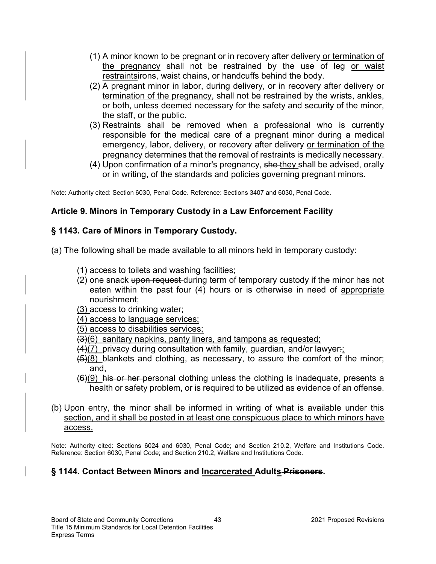- (1) A minor known to be pregnant or in recovery after delivery or termination of the pregnancy shall not be restrained by the use of leg or waist restraintsirons, waist chains, or handcuffs behind the body.
- (2) A pregnant minor in labor, during delivery, or in recovery after delivery or termination of the pregnancy, shall not be restrained by the wrists, ankles, or both, unless deemed necessary for the safety and security of the minor, the staff, or the public.
- (3) Restraints shall be removed when a professional who is currently responsible for the medical care of a pregnant minor during a medical emergency, labor, delivery, or recovery after delivery or termination of the pregnancy determines that the removal of restraints is medically necessary.
- (4) Upon confirmation of a minor's pregnancy, she they shall be advised, orally or in writing, of the standards and policies governing pregnant minors.

Note: Authority cited: Section 6030, Penal Code. Reference: Sections 3407 and 6030, Penal Code.

### Article 9. Minors in Temporary Custody in a Law Enforcement Facility

### § 1143. Care of Minors in Temporary Custody.

(a) The following shall be made available to all minors held in temporary custody:

- (1) access to toilets and washing facilities;
- (2) one snack upon request during term of temporary custody if the minor has not eaten within the past four (4) hours or is otherwise in need of appropriate nourishment;
- (3) access to drinking water;
- (4) access to language services;

(5) access to disabilities services;

- (3)(6) sanitary napkins, panty liners, and tampons as requested;
- $(4)(7)$  privacy during consultation with family, guardian, and/or lawyer:
- $(5)(8)$  blankets and clothing, as necessary, to assure the comfort of the minor; and,
- $(6)(9)$  his or her personal clothing unless the clothing is inadequate, presents a health or safety problem, or is required to be utilized as evidence of an offense.
- (b) Upon entry, the minor shall be informed in writing of what is available under this section, and it shall be posted in at least one conspicuous place to which minors have access.

Note: Authority cited: Sections 6024 and 6030, Penal Code; and Section 210.2, Welfare and Institutions Code. Reference: Section 6030, Penal Code; and Section 210.2, Welfare and Institutions Code.

### § 1144. Contact Between Minors and Incarcerated Adults Prisoners.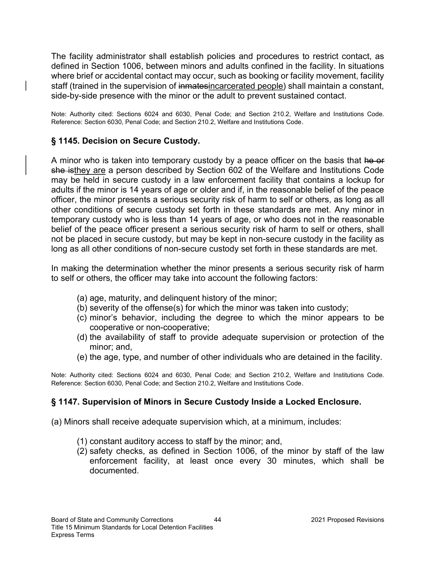The facility administrator shall establish policies and procedures to restrict contact, as defined in Section 1006, between minors and adults confined in the facility. In situations where brief or accidental contact may occur, such as booking or facility movement, facility staff (trained in the supervision of inmatesincarcerated people) shall maintain a constant, side-by-side presence with the minor or the adult to prevent sustained contact.

Note: Authority cited: Sections 6024 and 6030, Penal Code; and Section 210.2, Welfare and Institutions Code. Reference: Section 6030, Penal Code; and Section 210.2, Welfare and Institutions Code.

## § 1145. Decision on Secure Custody.

A minor who is taken into temporary custody by a peace officer on the basis that he or she isthey are a person described by Section 602 of the Welfare and Institutions Code may be held in secure custody in a law enforcement facility that contains a lockup for adults if the minor is 14 years of age or older and if, in the reasonable belief of the peace officer, the minor presents a serious security risk of harm to self or others, as long as all other conditions of secure custody set forth in these standards are met. Any minor in temporary custody who is less than 14 years of age, or who does not in the reasonable belief of the peace officer present a serious security risk of harm to self or others, shall not be placed in secure custody, but may be kept in non-secure custody in the facility as long as all other conditions of non-secure custody set forth in these standards are met.

In making the determination whether the minor presents a serious security risk of harm to self or others, the officer may take into account the following factors:

- (a) age, maturity, and delinquent history of the minor;
- (b) severity of the offense(s) for which the minor was taken into custody;
- (c) minor's behavior, including the degree to which the minor appears to be cooperative or non-cooperative;
- (d) the availability of staff to provide adequate supervision or protection of the minor; and,
- (e) the age, type, and number of other individuals who are detained in the facility.

Note: Authority cited: Sections 6024 and 6030, Penal Code; and Section 210.2, Welfare and Institutions Code. Reference: Section 6030, Penal Code; and Section 210.2, Welfare and Institutions Code.

### § 1147. Supervision of Minors in Secure Custody Inside a Locked Enclosure.

(a) Minors shall receive adequate supervision which, at a minimum, includes:

- (1) constant auditory access to staff by the minor; and,
- (2) safety checks, as defined in Section 1006, of the minor by staff of the law enforcement facility, at least once every 30 minutes, which shall be documented.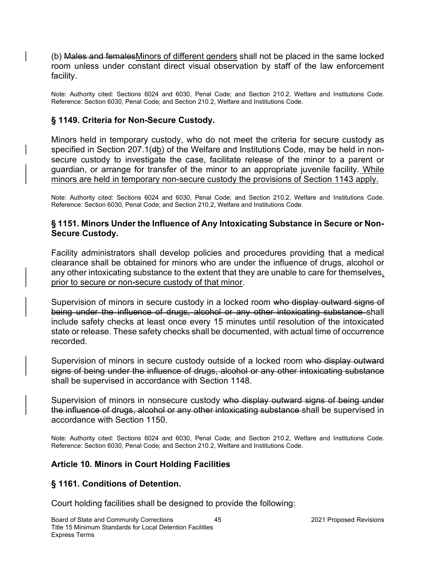(b) Males and femalesMinors of different genders shall not be placed in the same locked room unless under constant direct visual observation by staff of the law enforcement facility.

Note: Authority cited: Sections 6024 and 6030, Penal Code; and Section 210.2, Welfare and Institutions Code. Reference: Section 6030, Penal Code; and Section 210.2, Welfare and Institutions Code.

## § 1149. Criteria for Non-Secure Custody.

Minors held in temporary custody, who do not meet the criteria for secure custody as specified in Section 207.1(db) of the Welfare and Institutions Code, may be held in nonsecure custody to investigate the case, facilitate release of the minor to a parent or guardian, or arrange for transfer of the minor to an appropriate juvenile facility. While minors are held in temporary non-secure custody the provisions of Section 1143 apply.

Note: Authority cited: Sections 6024 and 6030, Penal Code; and Section 210.2, Welfare and Institutions Code. Reference: Section 6030, Penal Code; and Section 210.2, Welfare and Institutions Code.

#### § 1151. Minors Under the Influence of Any Intoxicating Substance in Secure or Non-Secure Custody.

Facility administrators shall develop policies and procedures providing that a medical clearance shall be obtained for minors who are under the influence of drugs, alcohol or any other intoxicating substance to the extent that they are unable to care for themselves, prior to secure or non-secure custody of that minor.

Supervision of minors in secure custody in a locked room who display outward signs of being under the influence of drugs, alcohol or any other intoxicating substance shall include safety checks at least once every 15 minutes until resolution of the intoxicated state or release. These safety checks shall be documented, with actual time of occurrence recorded.

Supervision of minors in secure custody outside of a locked room who display outward signs of being under the influence of drugs, alcohol or any other intoxicating substance shall be supervised in accordance with Section 1148.

Supervision of minors in nonsecure custody who display outward signs of being under the influence of drugs, alcohol or any other intoxicating substance shall be supervised in accordance with Section 1150.

Note: Authority cited: Sections 6024 and 6030, Penal Code; and Section 210.2, Welfare and Institutions Code. Reference: Section 6030, Penal Code; and Section 210.2, Welfare and Institutions Code.

### Article 10. Minors in Court Holding Facilities

### § 1161. Conditions of Detention.

Court holding facilities shall be designed to provide the following: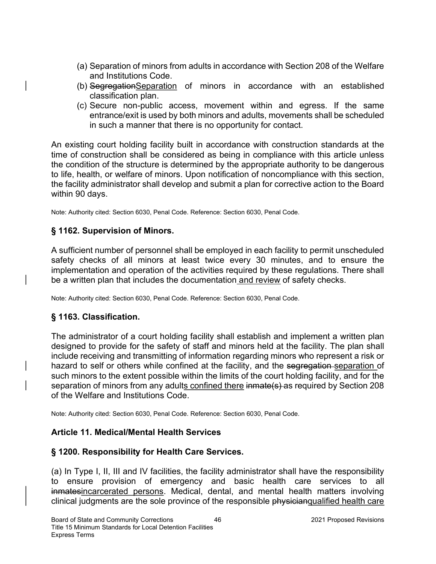- (a) Separation of minors from adults in accordance with Section 208 of the Welfare and Institutions Code.
- (b) SegregationSeparation of minors in accordance with an established classification plan.
- (c) Secure non-public access, movement within and egress. If the same entrance/exit is used by both minors and adults, movements shall be scheduled in such a manner that there is no opportunity for contact.

An existing court holding facility built in accordance with construction standards at the time of construction shall be considered as being in compliance with this article unless the condition of the structure is determined by the appropriate authority to be dangerous to life, health, or welfare of minors. Upon notification of noncompliance with this section, the facility administrator shall develop and submit a plan for corrective action to the Board within 90 days.

Note: Authority cited: Section 6030, Penal Code. Reference: Section 6030, Penal Code.

## § 1162. Supervision of Minors.

A sufficient number of personnel shall be employed in each facility to permit unscheduled safety checks of all minors at least twice every 30 minutes, and to ensure the implementation and operation of the activities required by these regulations. There shall be a written plan that includes the documentation and review of safety checks.

Note: Authority cited: Section 6030, Penal Code. Reference: Section 6030, Penal Code.

### § 1163. Classification.

The administrator of a court holding facility shall establish and implement a written plan designed to provide for the safety of staff and minors held at the facility. The plan shall include receiving and transmitting of information regarding minors who represent a risk or hazard to self or others while confined at the facility, and the segregation separation of such minors to the extent possible within the limits of the court holding facility, and for the separation of minors from any adults confined there inmate(s) as required by Section 208 of the Welfare and Institutions Code.

Note: Authority cited: Section 6030, Penal Code. Reference: Section 6030, Penal Code.

### Article 11. Medical/Mental Health Services

### § 1200. Responsibility for Health Care Services.

(a) In Type I, II, III and IV facilities, the facility administrator shall have the responsibility to ensure provision of emergency and basic health care services to all inmatesincarcerated persons. Medical, dental, and mental health matters involving clinical judgments are the sole province of the responsible physicianqualified health care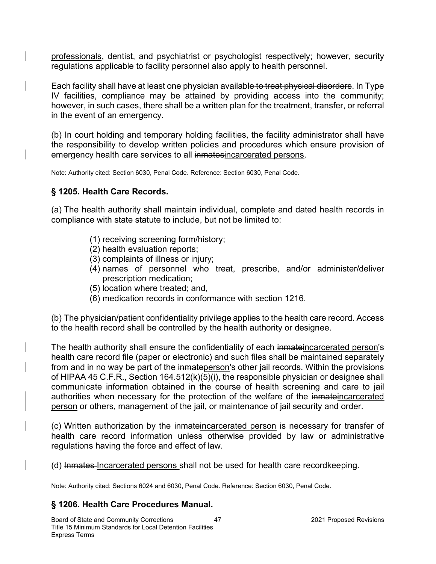professionals, dentist, and psychiatrist or psychologist respectively; however, security regulations applicable to facility personnel also apply to health personnel.

Each facility shall have at least one physician available to treat physical disorders. In Type IV facilities, compliance may be attained by providing access into the community; however, in such cases, there shall be a written plan for the treatment, transfer, or referral in the event of an emergency.

(b) In court holding and temporary holding facilities, the facility administrator shall have the responsibility to develop written policies and procedures which ensure provision of emergency health care services to all inmatesincarcerated persons.

Note: Authority cited: Section 6030, Penal Code. Reference: Section 6030, Penal Code.

## § 1205. Health Care Records.

(a) The health authority shall maintain individual, complete and dated health records in compliance with state statute to include, but not be limited to:

- (1) receiving screening form/history;
- (2) health evaluation reports;
- (3) complaints of illness or injury;
- (4) names of personnel who treat, prescribe, and/or administer/deliver prescription medication;
- (5) location where treated; and,
- (6) medication records in conformance with section 1216.

(b) The physician/patient confidentiality privilege applies to the health care record. Access to the health record shall be controlled by the health authority or designee.

The health authority shall ensure the confidentiality of each inmateincarcerated person's health care record file (paper or electronic) and such files shall be maintained separately from and in no way be part of the inmateperson's other jail records. Within the provisions of HIPAA 45 C.F.R., Section 164.512(k)(5)(i), the responsible physician or designee shall communicate information obtained in the course of health screening and care to jail authorities when necessary for the protection of the welfare of the inmateincarcerated person or others, management of the jail, or maintenance of jail security and order.

(c) Written authorization by the inmateincarcerated person is necessary for transfer of health care record information unless otherwise provided by law or administrative regulations having the force and effect of law.

(d) Inmates Incarcerated persons shall not be used for health care recordkeeping.

Note: Authority cited: Sections 6024 and 6030, Penal Code. Reference: Section 6030, Penal Code.

## § 1206. Health Care Procedures Manual.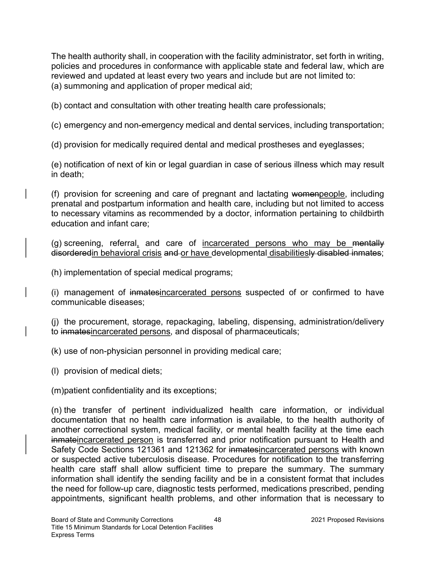The health authority shall, in cooperation with the facility administrator, set forth in writing, policies and procedures in conformance with applicable state and federal law, which are reviewed and updated at least every two years and include but are not limited to: (a) summoning and application of proper medical aid;

(b) contact and consultation with other treating health care professionals;

(c) emergency and non-emergency medical and dental services, including transportation;

(d) provision for medically required dental and medical prostheses and eyeglasses;

(e) notification of next of kin or legal guardian in case of serious illness which may result in death;

(f) provision for screening and care of pregnant and lactating womenpeople, including prenatal and postpartum information and health care, including but not limited to access to necessary vitamins as recommended by a doctor, information pertaining to childbirth education and infant care;

(g) screening, referral, and care of incarcerated persons who may be mentally disorderedin behavioral crisis and or have developmental disabilitiesly disabled inmates;

(h) implementation of special medical programs;

(i) management of inmatesincarcerated persons suspected of or confirmed to have communicable diseases;

(j) the procurement, storage, repackaging, labeling, dispensing, administration/delivery to inmatesincarcerated persons, and disposal of pharmaceuticals;

(k) use of non-physician personnel in providing medical care;

(l) provision of medical diets;

(m)patient confidentiality and its exceptions;

(n) the transfer of pertinent individualized health care information, or individual documentation that no health care information is available, to the health authority of another correctional system, medical facility, or mental health facility at the time each inmateincarcerated person is transferred and prior notification pursuant to Health and Safety Code Sections 121361 and 121362 for inmatesincarcerated persons with known or suspected active tuberculosis disease. Procedures for notification to the transferring health care staff shall allow sufficient time to prepare the summary. The summary information shall identify the sending facility and be in a consistent format that includes the need for follow-up care, diagnostic tests performed, medications prescribed, pending appointments, significant health problems, and other information that is necessary to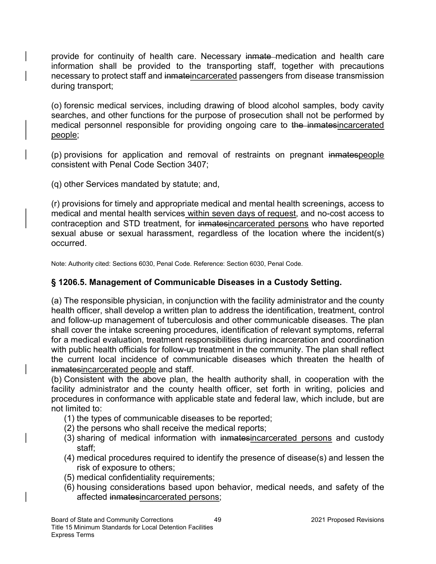provide for continuity of health care. Necessary inmate medication and health care information shall be provided to the transporting staff, together with precautions necessary to protect staff and inmateincarcerated passengers from disease transmission during transport;

(o) forensic medical services, including drawing of blood alcohol samples, body cavity searches, and other functions for the purpose of prosecution shall not be performed by medical personnel responsible for providing ongoing care to the inmatesincarcerated people;

(p) provisions for application and removal of restraints on pregnant inmatespeople consistent with Penal Code Section 3407;

(q) other Services mandated by statute; and,

(r) provisions for timely and appropriate medical and mental health screenings, access to medical and mental health services within seven days of request, and no-cost access to contraception and STD treatment, for inmatesincarcerated persons who have reported sexual abuse or sexual harassment, regardless of the location where the incident(s) occurred.

Note: Authority cited: Sections 6030, Penal Code. Reference: Section 6030, Penal Code.

### § 1206.5. Management of Communicable Diseases in a Custody Setting.

(a) The responsible physician, in conjunction with the facility administrator and the county health officer, shall develop a written plan to address the identification, treatment, control and follow-up management of tuberculosis and other communicable diseases. The plan shall cover the intake screening procedures, identification of relevant symptoms, referral for a medical evaluation, treatment responsibilities during incarceration and coordination with public health officials for follow-up treatment in the community. The plan shall reflect the current local incidence of communicable diseases which threaten the health of inmatesincarcerated people and staff.

(b) Consistent with the above plan, the health authority shall, in cooperation with the facility administrator and the county health officer, set forth in writing, policies and procedures in conformance with applicable state and federal law, which include, but are not limited to:

- (1) the types of communicable diseases to be reported;
- (2) the persons who shall receive the medical reports;
- (3) sharing of medical information with inmatesincarcerated persons and custody staff;
- (4) medical procedures required to identify the presence of disease(s) and lessen the risk of exposure to others;
- (5) medical confidentiality requirements;
- (6) housing considerations based upon behavior, medical needs, and safety of the affected inmatesincarcerated persons;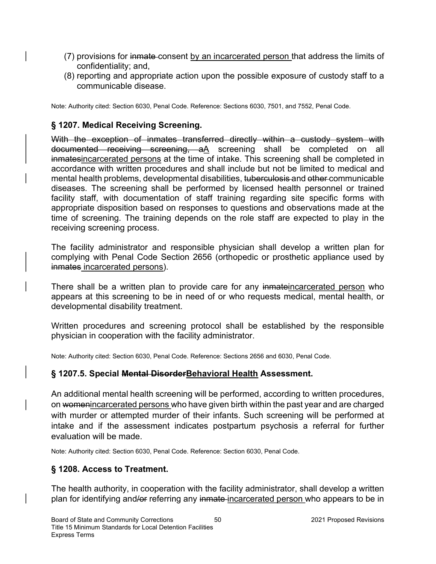- (7) provisions for inmate consent by an incarcerated person that address the limits of confidentiality; and,
- (8) reporting and appropriate action upon the possible exposure of custody staff to a communicable disease.

Note: Authority cited: Section 6030, Penal Code. Reference: Sections 6030, 7501, and 7552, Penal Code.

## § 1207. Medical Receiving Screening.

With the exception of inmates transferred directly within a custody system with documented receiving screening, aA screening shall be completed on all inmatesincarcerated persons at the time of intake. This screening shall be completed in accordance with written procedures and shall include but not be limited to medical and mental health problems, developmental disabilities, tuberculosis and other communicable diseases. The screening shall be performed by licensed health personnel or trained facility staff, with documentation of staff training regarding site specific forms with appropriate disposition based on responses to questions and observations made at the time of screening. The training depends on the role staff are expected to play in the receiving screening process.

The facility administrator and responsible physician shall develop a written plan for complying with Penal Code Section 2656 (orthopedic or prosthetic appliance used by inmates incarcerated persons).

There shall be a written plan to provide care for any inmateincarcerated person who appears at this screening to be in need of or who requests medical, mental health, or developmental disability treatment.

Written procedures and screening protocol shall be established by the responsible physician in cooperation with the facility administrator.

Note: Authority cited: Section 6030, Penal Code. Reference: Sections 2656 and 6030, Penal Code.

### § 1207.5. Special Mental Disorder Behavioral Health Assessment.

An additional mental health screening will be performed, according to written procedures, on womenincarcerated persons who have given birth within the past year and are charged with murder or attempted murder of their infants. Such screening will be performed at intake and if the assessment indicates postpartum psychosis a referral for further evaluation will be made.

Note: Authority cited: Section 6030, Penal Code. Reference: Section 6030, Penal Code.

## § 1208. Access to Treatment.

The health authority, in cooperation with the facility administrator, shall develop a written plan for identifying and/or referring any inmate-incarcerated person who appears to be in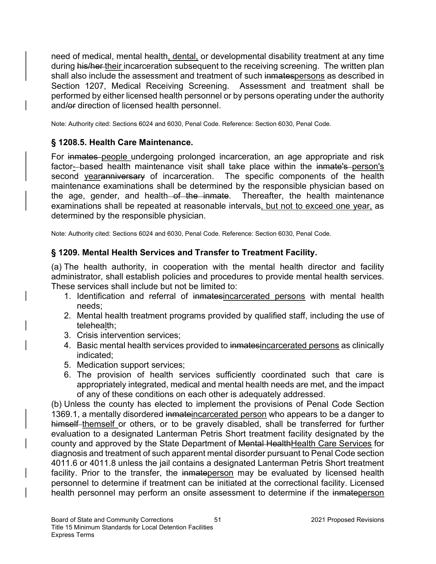need of medical, mental health, dental, or developmental disability treatment at any time during his/her their incarceration subsequent to the receiving screening. The written plan shall also include the assessment and treatment of such inmatespersons as described in Section 1207, Medical Receiving Screening. Assessment and treatment shall be performed by either licensed health personnel or by persons operating under the authority and/or direction of licensed health personnel.

Note: Authority cited: Sections 6024 and 6030, Penal Code. Reference: Section 6030, Penal Code.

## § 1208.5. Health Care Maintenance.

For inmates people undergoing prolonged incarceration, an age appropriate and risk factor-based health maintenance visit shall take place within the inmate's person's second yearanniversary of incarceration. The specific components of the health maintenance examinations shall be determined by the responsible physician based on the age, gender, and health of the inmate. Thereafter, the health maintenance examinations shall be repeated at reasonable intervals, but not to exceed one year, as determined by the responsible physician.

Note: Authority cited: Sections 6024 and 6030, Penal Code. Reference: Section 6030, Penal Code.

## § 1209. Mental Health Services and Transfer to Treatment Facility.

(a) The health authority, in cooperation with the mental health director and facility administrator, shall establish policies and procedures to provide mental health services. These services shall include but not be limited to:

- 1. Identification and referral of inmatesincarcerated persons with mental health needs;
- 2. Mental health treatment programs provided by qualified staff, including the use of telehealth;
- 3. Crisis intervention services;
- 4. Basic mental health services provided to inmatesincarcerated persons as clinically indicated;
- 5. Medication support services;
- 6. The provision of health services sufficiently coordinated such that care is appropriately integrated, medical and mental health needs are met, and the impact of any of these conditions on each other is adequately addressed.

(b) Unless the county has elected to implement the provisions of Penal Code Section 1369.1, a mentally disordered inmateincarcerated person who appears to be a danger to himself-themself or others, or to be gravely disabled, shall be transferred for further evaluation to a designated Lanterman Petris Short treatment facility designated by the county and approved by the State Department of Mental HealthHealth Care Services for diagnosis and treatment of such apparent mental disorder pursuant to Penal Code section 4011.6 or 4011.8 unless the jail contains a designated Lanterman Petris Short treatment facility. Prior to the transfer, the inmateperson may be evaluated by licensed health personnel to determine if treatment can be initiated at the correctional facility. Licensed health personnel may perform an onsite assessment to determine if the inmateperson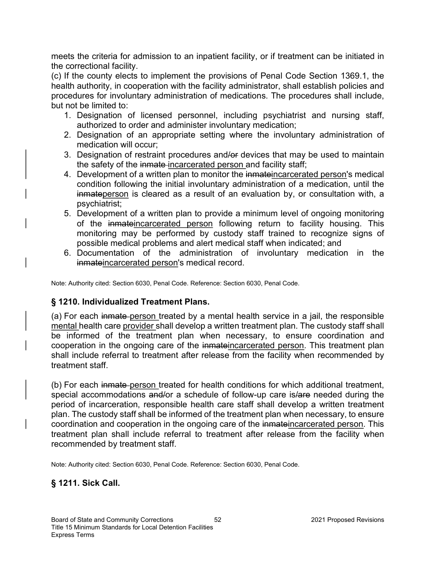meets the criteria for admission to an inpatient facility, or if treatment can be initiated in the correctional facility.

(c) If the county elects to implement the provisions of Penal Code Section 1369.1, the health authority, in cooperation with the facility administrator, shall establish policies and procedures for involuntary administration of medications. The procedures shall include, but not be limited to:

- 1. Designation of licensed personnel, including psychiatrist and nursing staff, authorized to order and administer involuntary medication;
- 2. Designation of an appropriate setting where the involuntary administration of medication will occur;
- 3. Designation of restraint procedures and/or devices that may be used to maintain the safety of the inmate-incarcerated person and facility staff;
- 4. Development of a written plan to monitor the inmateincarcerated person's medical condition following the initial involuntary administration of a medication, until the inmateperson is cleared as a result of an evaluation by, or consultation with, a psychiatrist;
- 5. Development of a written plan to provide a minimum level of ongoing monitoring of the inmateincarcerated person following return to facility housing. This monitoring may be performed by custody staff trained to recognize signs of possible medical problems and alert medical staff when indicated; and
- 6. Documentation of the administration of involuntary medication in the inmateincarcerated person's medical record.

Note: Authority cited: Section 6030, Penal Code. Reference: Section 6030, Penal Code.

### § 1210. Individualized Treatment Plans.

(a) For each inmate person treated by a mental health service in a jail, the responsible mental health care provider shall develop a written treatment plan. The custody staff shall be informed of the treatment plan when necessary, to ensure coordination and cooperation in the ongoing care of the inmateincarcerated person. This treatment plan shall include referral to treatment after release from the facility when recommended by treatment staff.

(b) For each inmate person treated for health conditions for which additional treatment, special accommodations and/or a schedule of follow-up care is/are needed during the period of incarceration, responsible health care staff shall develop a written treatment plan. The custody staff shall be informed of the treatment plan when necessary, to ensure coordination and cooperation in the ongoing care of the inmateincarcerated person. This treatment plan shall include referral to treatment after release from the facility when recommended by treatment staff.

Note: Authority cited: Section 6030, Penal Code. Reference: Section 6030, Penal Code.

### § 1211. Sick Call.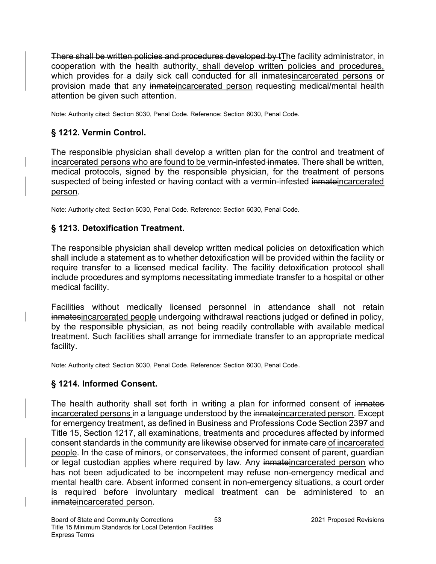There shall be written policies and procedures developed by tThe facility administrator, in cooperation with the health authority, shall develop written policies and procedures, which provides for a daily sick call conducted for all inmatesincarcerated persons or provision made that any inmateincarcerated person requesting medical/mental health attention be given such attention.

Note: Authority cited: Section 6030, Penal Code. Reference: Section 6030, Penal Code.

# § 1212. Vermin Control.

The responsible physician shall develop a written plan for the control and treatment of incarcerated persons who are found to be vermin-infested inmates. There shall be written, medical protocols, signed by the responsible physician, for the treatment of persons suspected of being infested or having contact with a vermin-infested inmateincarcerated person.

Note: Authority cited: Section 6030, Penal Code. Reference: Section 6030, Penal Code.

## § 1213. Detoxification Treatment.

The responsible physician shall develop written medical policies on detoxification which shall include a statement as to whether detoxification will be provided within the facility or require transfer to a licensed medical facility. The facility detoxification protocol shall include procedures and symptoms necessitating immediate transfer to a hospital or other medical facility.

Facilities without medically licensed personnel in attendance shall not retain inmatesincarcerated people undergoing withdrawal reactions judged or defined in policy, by the responsible physician, as not being readily controllable with available medical treatment. Such facilities shall arrange for immediate transfer to an appropriate medical facility.

Note: Authority cited: Section 6030, Penal Code. Reference: Section 6030, Penal Code.

## § 1214. Informed Consent.

The health authority shall set forth in writing a plan for informed consent of inmates incarcerated persons in a language understood by the inmateincarcerated person. Except for emergency treatment, as defined in Business and Professions Code Section 2397 and Title 15, Section 1217, all examinations, treatments and procedures affected by informed consent standards in the community are likewise observed for inmate care of incarcerated people. In the case of minors, or conservatees, the informed consent of parent, guardian or legal custodian applies where required by law. Any inmateincarcerated person who has not been adjudicated to be incompetent may refuse non-emergency medical and mental health care. Absent informed consent in non-emergency situations, a court order is required before involuntary medical treatment can be administered to an inmateincarcerated person.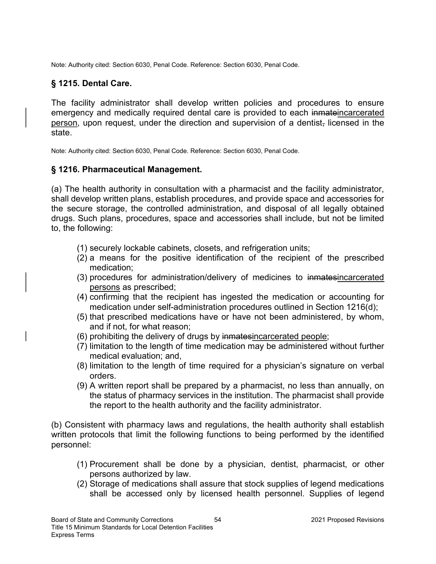Note: Authority cited: Section 6030, Penal Code. Reference: Section 6030, Penal Code.

## § 1215. Dental Care.

The facility administrator shall develop written policies and procedures to ensure emergency and medically required dental care is provided to each inmateincarcerated person, upon request, under the direction and supervision of a dentist, licensed in the state.

Note: Authority cited: Section 6030, Penal Code. Reference: Section 6030, Penal Code.

#### § 1216. Pharmaceutical Management.

(a) The health authority in consultation with a pharmacist and the facility administrator, shall develop written plans, establish procedures, and provide space and accessories for the secure storage, the controlled administration, and disposal of all legally obtained drugs. Such plans, procedures, space and accessories shall include, but not be limited to, the following:

- (1) securely lockable cabinets, closets, and refrigeration units;
- (2) a means for the positive identification of the recipient of the prescribed medication;
- (3) procedures for administration/delivery of medicines to inmatesincarcerated persons as prescribed;
- (4) confirming that the recipient has ingested the medication or accounting for medication under self-administration procedures outlined in Section 1216(d);
- (5) that prescribed medications have or have not been administered, by whom, and if not, for what reason;
- (6) prohibiting the delivery of drugs by inmatesincarcerated people;
- (7) limitation to the length of time medication may be administered without further medical evaluation; and,
- (8) limitation to the length of time required for a physician's signature on verbal orders.
- (9) A written report shall be prepared by a pharmacist, no less than annually, on the status of pharmacy services in the institution. The pharmacist shall provide the report to the health authority and the facility administrator.

(b) Consistent with pharmacy laws and regulations, the health authority shall establish written protocols that limit the following functions to being performed by the identified personnel:

- (1) Procurement shall be done by a physician, dentist, pharmacist, or other persons authorized by law.
- (2) Storage of medications shall assure that stock supplies of legend medications shall be accessed only by licensed health personnel. Supplies of legend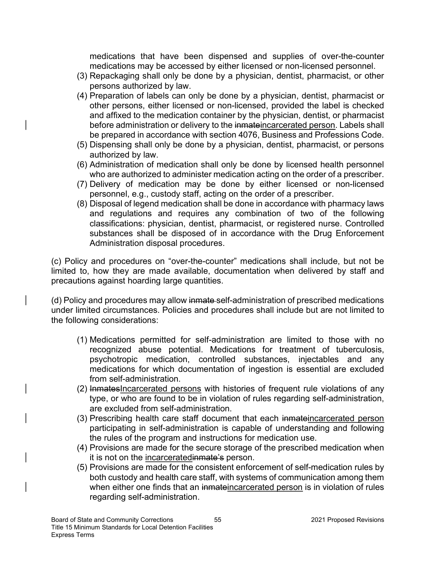medications that have been dispensed and supplies of over-the-counter medications may be accessed by either licensed or non-licensed personnel.

- (3) Repackaging shall only be done by a physician, dentist, pharmacist, or other persons authorized by law.
- (4) Preparation of labels can only be done by a physician, dentist, pharmacist or other persons, either licensed or non-licensed, provided the label is checked and affixed to the medication container by the physician, dentist, or pharmacist before administration or delivery to the inmateincarcerated person. Labels shall be prepared in accordance with section 4076, Business and Professions Code.
- (5) Dispensing shall only be done by a physician, dentist, pharmacist, or persons authorized by law.
- (6) Administration of medication shall only be done by licensed health personnel who are authorized to administer medication acting on the order of a prescriber.
- (7) Delivery of medication may be done by either licensed or non-licensed personnel, e.g., custody staff, acting on the order of a prescriber.
- (8) Disposal of legend medication shall be done in accordance with pharmacy laws and regulations and requires any combination of two of the following classifications: physician, dentist, pharmacist, or registered nurse. Controlled substances shall be disposed of in accordance with the Drug Enforcement Administration disposal procedures.

(c) Policy and procedures on "over-the-counter" medications shall include, but not be limited to, how they are made available, documentation when delivered by staff and precautions against hoarding large quantities.

(d) Policy and procedures may allow inmate-self-administration of prescribed medications under limited circumstances. Policies and procedures shall include but are not limited to the following considerations:

- (1) Medications permitted for self-administration are limited to those with no recognized abuse potential. Medications for treatment of tuberculosis, psychotropic medication, controlled substances, injectables and any medications for which documentation of ingestion is essential are excluded from self-administration.
- (2) InmatesIncarcerated persons with histories of frequent rule violations of any type, or who are found to be in violation of rules regarding self-administration, are excluded from self-administration.
- (3) Prescribing health care staff document that each inmateincarcerated person participating in self-administration is capable of understanding and following the rules of the program and instructions for medication use.
- (4) Provisions are made for the secure storage of the prescribed medication when it is not on the incarceratedinmate's person.
- (5) Provisions are made for the consistent enforcement of self-medication rules by both custody and health care staff, with systems of communication among them when either one finds that an inmateincarcerated person is in violation of rules regarding self-administration.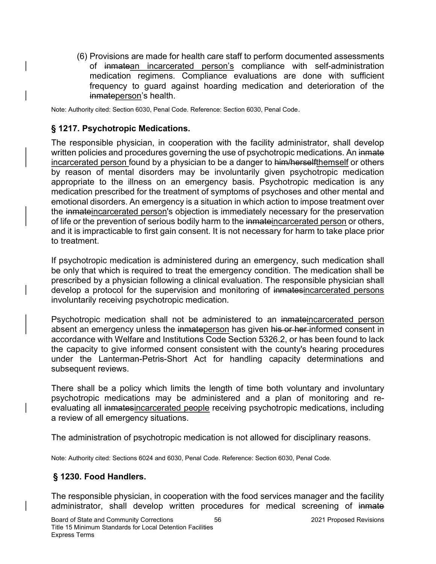(6) Provisions are made for health care staff to perform documented assessments of inmatean incarcerated person's compliance with self-administration medication regimens. Compliance evaluations are done with sufficient frequency to guard against hoarding medication and deterioration of the inmateperson's health.

Note: Authority cited: Section 6030, Penal Code. Reference: Section 6030, Penal Code.

### § 1217. Psychotropic Medications.

The responsible physician, in cooperation with the facility administrator, shall develop written policies and procedures governing the use of psychotropic medications. An inmate incarcerated person found by a physician to be a danger to him/herselfthemself or others by reason of mental disorders may be involuntarily given psychotropic medication appropriate to the illness on an emergency basis. Psychotropic medication is any medication prescribed for the treatment of symptoms of psychoses and other mental and emotional disorders. An emergency is a situation in which action to impose treatment over the inmateincarcerated person's objection is immediately necessary for the preservation of life or the prevention of serious bodily harm to the inmateincarcerated person or others, and it is impracticable to first gain consent. It is not necessary for harm to take place prior to treatment.

If psychotropic medication is administered during an emergency, such medication shall be only that which is required to treat the emergency condition. The medication shall be prescribed by a physician following a clinical evaluation. The responsible physician shall develop a protocol for the supervision and monitoring of inmatesincarcerated persons involuntarily receiving psychotropic medication.

Psychotropic medication shall not be administered to an inmateincarcerated person absent an emergency unless the inmateperson has given his or her informed consent in accordance with Welfare and Institutions Code Section 5326.2, or has been found to lack the capacity to give informed consent consistent with the county's hearing procedures under the Lanterman-Petris-Short Act for handling capacity determinations and subsequent reviews.

There shall be a policy which limits the length of time both voluntary and involuntary psychotropic medications may be administered and a plan of monitoring and reevaluating all inmatesincarcerated people receiving psychotropic medications, including a review of all emergency situations.

The administration of psychotropic medication is not allowed for disciplinary reasons.

Note: Authority cited: Sections 6024 and 6030, Penal Code. Reference: Section 6030, Penal Code.

### § 1230. Food Handlers.

The responsible physician, in cooperation with the food services manager and the facility administrator, shall develop written procedures for medical screening of inmate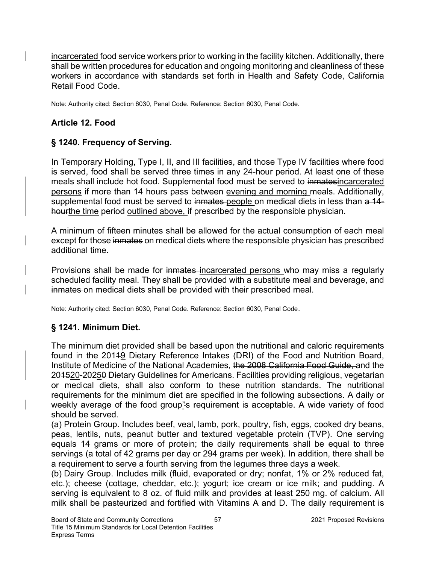incarcerated food service workers prior to working in the facility kitchen. Additionally, there shall be written procedures for education and ongoing monitoring and cleanliness of these workers in accordance with standards set forth in Health and Safety Code, California Retail Food Code.

Note: Authority cited: Section 6030, Penal Code. Reference: Section 6030, Penal Code.

## Article 12. Food

# § 1240. Frequency of Serving.

In Temporary Holding, Type I, II, and III facilities, and those Type IV facilities where food is served, food shall be served three times in any 24-hour period. At least one of these meals shall include hot food. Supplemental food must be served to inmatesincarcerated persons if more than 14 hours pass between evening and morning meals. Additionally, supplemental food must be served to inmates-people on medical diets in less than a 14hourthe time period outlined above, if prescribed by the responsible physician.

A minimum of fifteen minutes shall be allowed for the actual consumption of each meal except for those inmates on medical diets where the responsible physician has prescribed additional time.

Provisions shall be made for inmates incarcerated persons who may miss a regularly scheduled facility meal. They shall be provided with a substitute meal and beverage, and inmates on medical diets shall be provided with their prescribed meal.

Note: Authority cited: Section 6030, Penal Code. Reference: Section 6030, Penal Code.

# § 1241. Minimum Diet.

The minimum diet provided shall be based upon the nutritional and caloric requirements found in the 20119 Dietary Reference Intakes (DRI) of the Food and Nutrition Board, Institute of Medicine of the National Academies, the 2008 California Food Guide, and the 201520-20250 Dietary Guidelines for Americans. Facilities providing religious, vegetarian or medical diets, shall also conform to these nutrition standards. The nutritional requirements for the minimum diet are specified in the following subsections. A daily or weekly average of the food group''s requirement is acceptable. A wide variety of food should be served.

(a) Protein Group. Includes beef, veal, lamb, pork, poultry, fish, eggs, cooked dry beans, peas, lentils, nuts, peanut butter and textured vegetable protein (TVP). One serving equals 14 grams or more of protein; the daily requirements shall be equal to three servings (a total of 42 grams per day or 294 grams per week). In addition, there shall be a requirement to serve a fourth serving from the legumes three days a week.

(b) Dairy Group. Includes milk (fluid, evaporated or dry; nonfat, 1% or 2% reduced fat, etc.); cheese (cottage, cheddar, etc.); yogurt; ice cream or ice milk; and pudding. A serving is equivalent to 8 oz. of fluid milk and provides at least 250 mg. of calcium. All milk shall be pasteurized and fortified with Vitamins A and D. The daily requirement is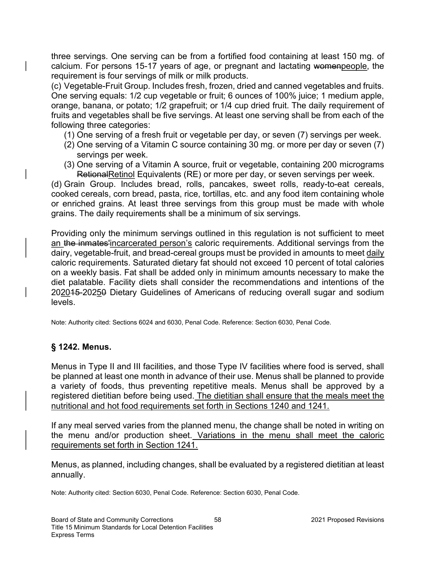three servings. One serving can be from a fortified food containing at least 150 mg. of calcium. For persons 15-17 years of age, or pregnant and lactating womenpeople, the requirement is four servings of milk or milk products.

(c) Vegetable-Fruit Group. Includes fresh, frozen, dried and canned vegetables and fruits. One serving equals: 1/2 cup vegetable or fruit; 6 ounces of 100% juice; 1 medium apple, orange, banana, or potato; 1/2 grapefruit; or 1/4 cup dried fruit. The daily requirement of fruits and vegetables shall be five servings. At least one serving shall be from each of the following three categories:

- (1) One serving of a fresh fruit or vegetable per day, or seven (7) servings per week.
- (2) One serving of a Vitamin C source containing 30 mg. or more per day or seven (7) servings per week.
- (3) One serving of a Vitamin A source, fruit or vegetable, containing 200 micrograms RetionalRetinol Equivalents (RE) or more per day, or seven servings per week.

(d) Grain Group. Includes bread, rolls, pancakes, sweet rolls, ready-to-eat cereals, cooked cereals, corn bread, pasta, rice, tortillas, etc. and any food item containing whole or enriched grains. At least three servings from this group must be made with whole grains. The daily requirements shall be a minimum of six servings.

Providing only the minimum servings outlined in this regulation is not sufficient to meet an the inmates'incarcerated person's caloric requirements. Additional servings from the dairy, vegetable-fruit, and bread-cereal groups must be provided in amounts to meet daily caloric requirements. Saturated dietary fat should not exceed 10 percent of total calories on a weekly basis. Fat shall be added only in minimum amounts necessary to make the diet palatable. Facility diets shall consider the recommendations and intentions of the 202015-20250 Dietary Guidelines of Americans of reducing overall sugar and sodium levels.

Note: Authority cited: Sections 6024 and 6030, Penal Code. Reference: Section 6030, Penal Code.

### § 1242. Menus.

Menus in Type II and III facilities, and those Type IV facilities where food is served, shall be planned at least one month in advance of their use. Menus shall be planned to provide a variety of foods, thus preventing repetitive meals. Menus shall be approved by a registered dietitian before being used. The dietitian shall ensure that the meals meet the nutritional and hot food requirements set forth in Sections 1240 and 1241.

If any meal served varies from the planned menu, the change shall be noted in writing on the menu and/or production sheet. Variations in the menu shall meet the caloric requirements set forth in Section 1241.

Menus, as planned, including changes, shall be evaluated by a registered dietitian at least annually.

Note: Authority cited: Section 6030, Penal Code. Reference: Section 6030, Penal Code.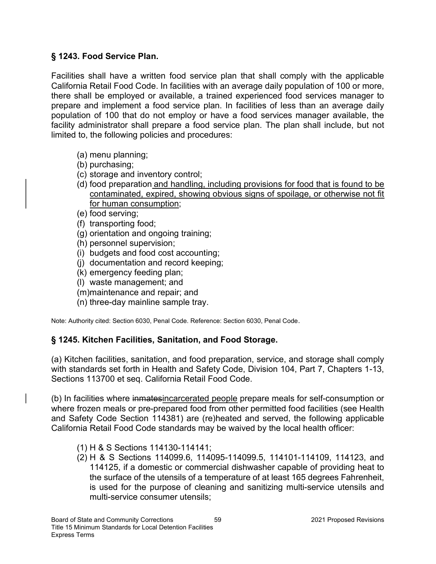## § 1243. Food Service Plan.

Facilities shall have a written food service plan that shall comply with the applicable California Retail Food Code. In facilities with an average daily population of 100 or more, there shall be employed or available, a trained experienced food services manager to prepare and implement a food service plan. In facilities of less than an average daily population of 100 that do not employ or have a food services manager available, the facility administrator shall prepare a food service plan. The plan shall include, but not limited to, the following policies and procedures:

- (a) menu planning;
- (b) purchasing;
- (c) storage and inventory control;
- (d) food preparation and handling, including provisions for food that is found to be contaminated, expired, showing obvious signs of spoilage, or otherwise not fit for human consumption;
- (e) food serving;
- (f) transporting food;
- (g) orientation and ongoing training;
- (h) personnel supervision;
- (i) budgets and food cost accounting;
- (j) documentation and record keeping;
- (k) emergency feeding plan;
- (l) waste management; and
- (m)maintenance and repair; and
- (n) three-day mainline sample tray.

Note: Authority cited: Section 6030, Penal Code. Reference: Section 6030, Penal Code.

## § 1245. Kitchen Facilities, Sanitation, and Food Storage.

(a) Kitchen facilities, sanitation, and food preparation, service, and storage shall comply with standards set forth in Health and Safety Code, Division 104, Part 7, Chapters 1-13, Sections 113700 et seq. California Retail Food Code.

(b) In facilities where inmatesincarcerated people prepare meals for self-consumption or where frozen meals or pre-prepared food from other permitted food facilities (see Health and Safety Code Section 114381) are (re)heated and served, the following applicable California Retail Food Code standards may be waived by the local health officer:

- (1) H & S Sections 114130-114141;
- (2) H & S Sections 114099.6, 114095-114099.5, 114101-114109, 114123, and 114125, if a domestic or commercial dishwasher capable of providing heat to the surface of the utensils of a temperature of at least 165 degrees Fahrenheit, is used for the purpose of cleaning and sanitizing multi-service utensils and multi-service consumer utensils;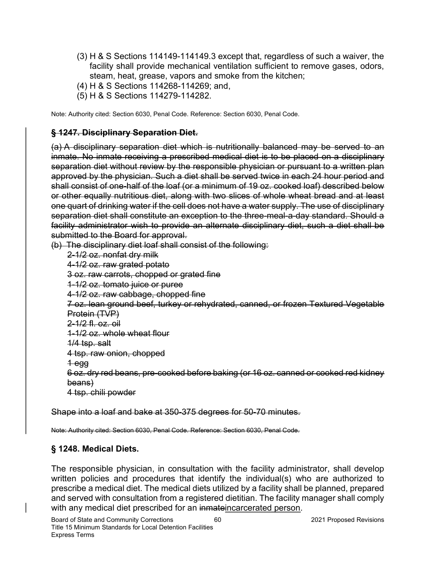- (3) H & S Sections 114149-114149.3 except that, regardless of such a waiver, the facility shall provide mechanical ventilation sufficient to remove gases, odors, steam, heat, grease, vapors and smoke from the kitchen;
- (4) H & S Sections 114268-114269; and,
- (5) H & S Sections 114279-114282.

Note: Authority cited: Section 6030, Penal Code. Reference: Section 6030, Penal Code.

## § 1247. Disciplinary Separation Diet.

(a) A disciplinary separation diet which is nutritionally balanced may be served to an inmate. No inmate receiving a prescribed medical diet is to be placed on a disciplinary separation diet without review by the responsible physician or pursuant to a written plan approved by the physician. Such a diet shall be served twice in each 24 hour period and shall consist of one-half of the loaf (or a minimum of 19 oz. cooked loaf) described below or other equally nutritious diet, along with two slices of whole wheat bread and at least one quart of drinking water if the cell does not have a water supply. The use of disciplinary separation diet shall constitute an exception to the three-meal-a-day standard. Should a facility administrator wish to provide an alternate disciplinary diet, such a diet shall be submitted to the Board for approval.

(b) The disciplinary diet loaf shall consist of the following: 2-1/2 oz. nonfat dry milk 4-1/2 oz. raw grated potato 3 oz. raw carrots, chopped or grated fine 1-1/2 oz. tomato juice or puree 4-1/2 oz. raw cabbage, chopped fine 7 oz. lean ground beef, turkey or rehydrated, canned, or frozen Textured Vegetable Protein (TVP) 2-1/2 fl. oz. oil 1-1/2 oz. whole wheat flour 1/4 tsp. salt 4 tsp. raw onion, chopped 1 egg 6 oz. dry red beans, pre-cooked before baking (or 16 oz. canned or cooked red kidney beans) 4 tsp. chili powder

Shape into a loaf and bake at 350-375 degrees for 50-70 minutes.

Note: Authority cited: Section 6030, Penal Code. Reference: Section 6030, Penal Code.

## § 1248. Medical Diets.

The responsible physician, in consultation with the facility administrator, shall develop written policies and procedures that identify the individual(s) who are authorized to prescribe a medical diet. The medical diets utilized by a facility shall be planned, prepared and served with consultation from a registered dietitian. The facility manager shall comply with any medical diet prescribed for an inmateincarcerated person.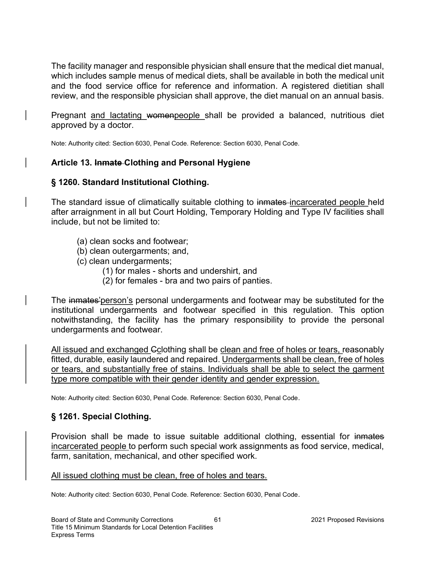The facility manager and responsible physician shall ensure that the medical diet manual, which includes sample menus of medical diets, shall be available in both the medical unit and the food service office for reference and information. A registered dietitian shall review, and the responsible physician shall approve, the diet manual on an annual basis.

Pregnant and lactating womenpeople shall be provided a balanced, nutritious diet approved by a doctor.

Note: Authority cited: Section 6030, Penal Code. Reference: Section 6030, Penal Code.

## Article 13. Inmate Clothing and Personal Hygiene

## § 1260. Standard Institutional Clothing.

The standard issue of climatically suitable clothing to inmates incarcerated people held after arraignment in all but Court Holding, Temporary Holding and Type IV facilities shall include, but not be limited to:

- (a) clean socks and footwear;
- (b) clean outergarments; and,
- (c) clean undergarments;
	- (1) for males shorts and undershirt, and
	- (2) for females bra and two pairs of panties.

The inmates' person's personal undergarments and footwear may be substituted for the institutional undergarments and footwear specified in this regulation. This option notwithstanding, the facility has the primary responsibility to provide the personal undergarments and footwear.

All issued and exchanged Cclothing shall be clean and free of holes or tears, reasonably fitted, durable, easily laundered and repaired. Undergarments shall be clean, free of holes or tears, and substantially free of stains. Individuals shall be able to select the garment type more compatible with their gender identity and gender expression.

Note: Authority cited: Section 6030, Penal Code. Reference: Section 6030, Penal Code.

## § 1261. Special Clothing.

Provision shall be made to issue suitable additional clothing, essential for inmates incarcerated people to perform such special work assignments as food service, medical, farm, sanitation, mechanical, and other specified work.

#### All issued clothing must be clean, free of holes and tears.

Note: Authority cited: Section 6030, Penal Code. Reference: Section 6030, Penal Code.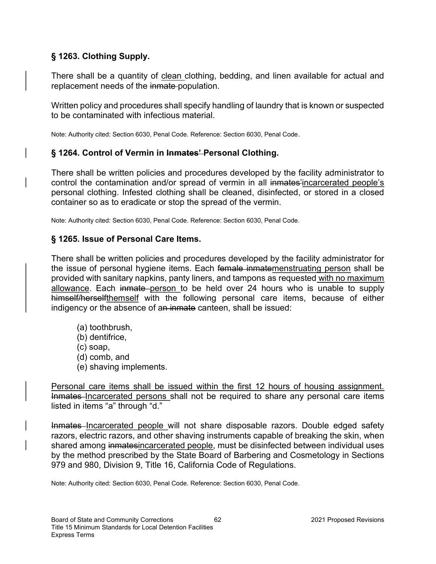## § 1263. Clothing Supply.

There shall be a quantity of clean clothing, bedding, and linen available for actual and replacement needs of the inmate population.

Written policy and procedures shall specify handling of laundry that is known or suspected to be contaminated with infectious material.

Note: Authority cited: Section 6030, Penal Code. Reference: Section 6030, Penal Code.

#### § 1264. Control of Vermin in Inmates' Personal Clothing.

There shall be written policies and procedures developed by the facility administrator to control the contamination and/or spread of vermin in all inmates'incarcerated people's personal clothing. Infested clothing shall be cleaned, disinfected, or stored in a closed container so as to eradicate or stop the spread of the vermin.

Note: Authority cited: Section 6030, Penal Code. Reference: Section 6030, Penal Code.

### § 1265. Issue of Personal Care Items.

There shall be written policies and procedures developed by the facility administrator for the issue of personal hygiene items. Each female inmatemenstruating person shall be provided with sanitary napkins, panty liners, and tampons as requested with no maximum allowance. Each inmate person to be held over 24 hours who is unable to supply himself/herselfthemself with the following personal care items, because of either indigency or the absence of an inmate canteen, shall be issued:

- (a) toothbrush,
- (b) dentifrice,
- (c) soap,
- (d) comb, and
- (e) shaving implements.

Personal care items shall be issued within the first 12 hours of housing assignment. Inmates–Incarcerated persons shall not be required to share any personal care items listed in items "a" through "d."

Inmates–Incarcerated people will not share disposable razors. Double edged safety razors, electric razors, and other shaving instruments capable of breaking the skin, when shared among inmatesincarcerated people, must be disinfected between individual uses by the method prescribed by the State Board of Barbering and Cosmetology in Sections 979 and 980, Division 9, Title 16, California Code of Regulations.

Note: Authority cited: Section 6030, Penal Code. Reference: Section 6030, Penal Code.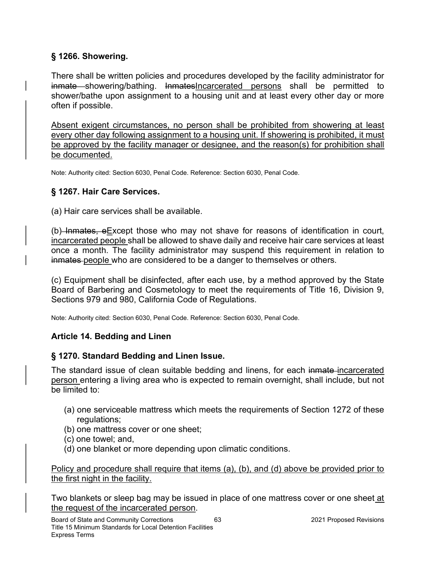## § 1266. Showering.

There shall be written policies and procedures developed by the facility administrator for inmate showering/bathing. InmatesIncarcerated persons shall be permitted to shower/bathe upon assignment to a housing unit and at least every other day or more often if possible.

Absent exigent circumstances, no person shall be prohibited from showering at least every other day following assignment to a housing unit. If showering is prohibited, it must be approved by the facility manager or designee, and the reason(s) for prohibition shall be documented.

Note: Authority cited: Section 6030, Penal Code. Reference: Section 6030, Penal Code.

## § 1267. Hair Care Services.

(a) Hair care services shall be available.

 $(b)$  Inmates, e Except those who may not shave for reasons of identification in court, incarcerated people shall be allowed to shave daily and receive hair care services at least once a month. The facility administrator may suspend this requirement in relation to inmates people who are considered to be a danger to themselves or others.

(c) Equipment shall be disinfected, after each use, by a method approved by the State Board of Barbering and Cosmetology to meet the requirements of Title 16, Division 9, Sections 979 and 980, California Code of Regulations.

Note: Authority cited: Section 6030, Penal Code. Reference: Section 6030, Penal Code.

## Article 14. Bedding and Linen

## § 1270. Standard Bedding and Linen Issue.

The standard issue of clean suitable bedding and linens, for each inmate incarcerated person entering a living area who is expected to remain overnight, shall include, but not be limited to:

- (a) one serviceable mattress which meets the requirements of Section 1272 of these regulations;
- (b) one mattress cover or one sheet;
- (c) one towel; and,
- (d) one blanket or more depending upon climatic conditions.

Policy and procedure shall require that items (a), (b), and (d) above be provided prior to the first night in the facility.

Two blankets or sleep bag may be issued in place of one mattress cover or one sheet at the request of the incarcerated person.